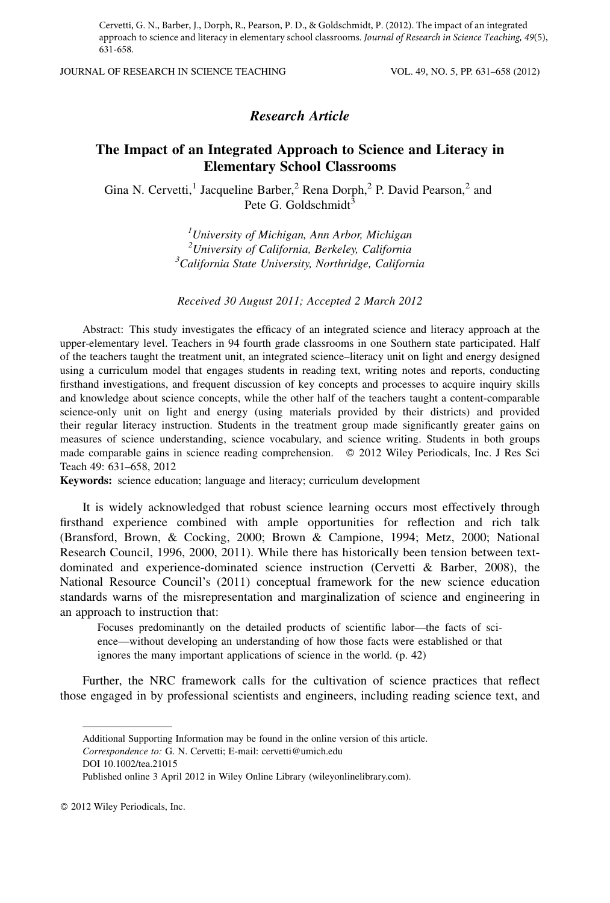Cervetti, G. N., Barber, J., Dorph, R., Pearson, P. D., & Goldschmidt, P. (2012). The impact of an integrated approach to science and literacy in elementary school classrooms. *Journal of Research in Science Teaching, 49*(5), 631-658.

JOURNAL OF RESEARCH IN SCIENCE TEACHING VOL. 49, NO. 5, PP. 631–658 (2012)

# Research Article

# The Impact of an Integrated Approach to Science and Literacy in Elementary School Classrooms

Gina N. Cervetti,<sup>1</sup> Jacqueline Barber,<sup>2</sup> Rena Dorph,<sup>2</sup> P. David Pearson,<sup>2</sup> and Pete G. Goldschmidt $^3$ 

> ${}^{1}$ University of Michigan, Ann Arbor, Michigan <sup>2</sup>University of California, Berkeley, California<sup>3</sup> California State University Northridge, California  $3$ California State University, Northridge, California

Received 30 August 2011; Accepted 2 March 2012

Abstract: This study investigates the efficacy of an integrated science and literacy approach at the upper-elementary level. Teachers in 94 fourth grade classrooms in one Southern state participated. Half of the teachers taught the treatment unit, an integrated science–literacy unit on light and energy designed using a curriculum model that engages students in reading text, writing notes and reports, conducting firsthand investigations, and frequent discussion of key concepts and processes to acquire inquiry skills and knowledge about science concepts, while the other half of the teachers taught a content-comparable science-only unit on light and energy (using materials provided by their districts) and provided their regular literacy instruction. Students in the treatment group made significantly greater gains on measures of science understanding, science vocabulary, and science writing. Students in both groups made comparable gains in science reading comprehension.  $\oslash$  2012 Wiley Periodicals, Inc. J Res Sci Teach 49: 631–658, 2012

Keywords: science education; language and literacy; curriculum development

It is widely acknowledged that robust science learning occurs most effectively through firsthand experience combined with ample opportunities for reflection and rich talk (Bransford, Brown, & Cocking, 2000; Brown & Campione, 1994; Metz, 2000; National Research Council, 1996, 2000, 2011). While there has historically been tension between textdominated and experience-dominated science instruction (Cervetti & Barber, 2008), the National Resource Council's (2011) conceptual framework for the new science education standards warns of the misrepresentation and marginalization of science and engineering in an approach to instruction that:

Focuses predominantly on the detailed products of scientific labor—the facts of science—without developing an understanding of how those facts were established or that ignores the many important applications of science in the world. (p. 42)

Further, the NRC framework calls for the cultivation of science practices that reflect those engaged in by professional scientists and engineers, including reading science text, and

Correspondence to: G. N. Cervetti; E-mail: cervetti@umich.edu

DOI 10.1002/tea.21015

Additional Supporting Information may be found in the online version of this article.

Published online 3 April 2012 in Wiley Online Library (wileyonlinelibrary.com).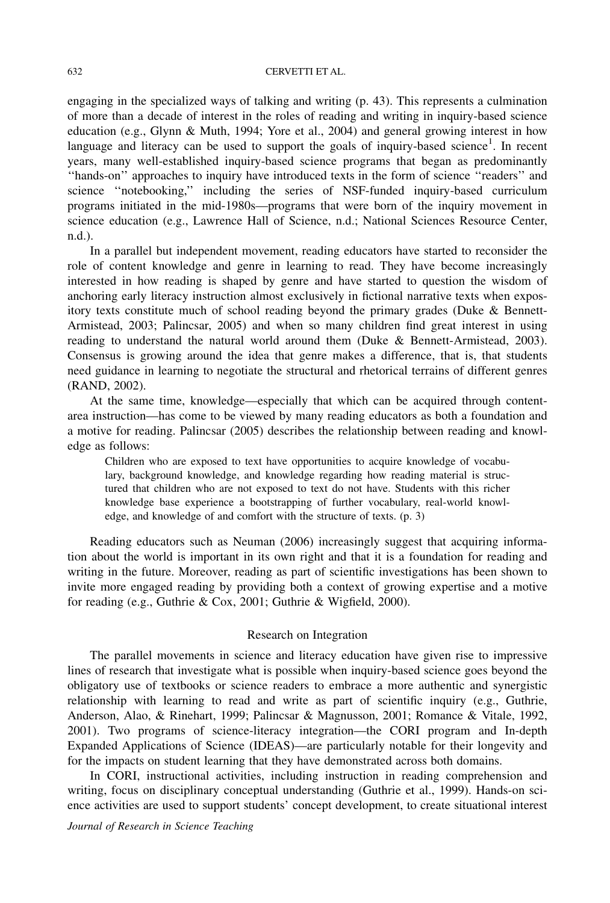engaging in the specialized ways of talking and writing (p. 43). This represents a culmination of more than a decade of interest in the roles of reading and writing in inquiry-based science education (e.g., Glynn & Muth, 1994; Yore et al., 2004) and general growing interest in how language and literacy can be used to support the goals of inquiry-based science<sup>1</sup>. In recent years, many well-established inquiry-based science programs that began as predominantly ''hands-on'' approaches to inquiry have introduced texts in the form of science ''readers'' and science ''notebooking,'' including the series of NSF-funded inquiry-based curriculum programs initiated in the mid-1980s—programs that were born of the inquiry movement in science education (e.g., Lawrence Hall of Science, n.d.; National Sciences Resource Center, n.d.).

In a parallel but independent movement, reading educators have started to reconsider the role of content knowledge and genre in learning to read. They have become increasingly interested in how reading is shaped by genre and have started to question the wisdom of anchoring early literacy instruction almost exclusively in fictional narrative texts when expository texts constitute much of school reading beyond the primary grades (Duke & Bennett-Armistead, 2003; Palincsar, 2005) and when so many children find great interest in using reading to understand the natural world around them (Duke & Bennett-Armistead, 2003). Consensus is growing around the idea that genre makes a difference, that is, that students need guidance in learning to negotiate the structural and rhetorical terrains of different genres (RAND, 2002).

At the same time, knowledge—especially that which can be acquired through contentarea instruction—has come to be viewed by many reading educators as both a foundation and a motive for reading. Palincsar (2005) describes the relationship between reading and knowledge as follows:

Children who are exposed to text have opportunities to acquire knowledge of vocabulary, background knowledge, and knowledge regarding how reading material is structured that children who are not exposed to text do not have. Students with this richer knowledge base experience a bootstrapping of further vocabulary, real-world knowledge, and knowledge of and comfort with the structure of texts. (p. 3)

Reading educators such as Neuman (2006) increasingly suggest that acquiring information about the world is important in its own right and that it is a foundation for reading and writing in the future. Moreover, reading as part of scientific investigations has been shown to invite more engaged reading by providing both a context of growing expertise and a motive for reading (e.g., Guthrie & Cox, 2001; Guthrie & Wigfield, 2000).

# Research on Integration

The parallel movements in science and literacy education have given rise to impressive lines of research that investigate what is possible when inquiry-based science goes beyond the obligatory use of textbooks or science readers to embrace a more authentic and synergistic relationship with learning to read and write as part of scientific inquiry (e.g., Guthrie, Anderson, Alao, & Rinehart, 1999; Palincsar & Magnusson, 2001; Romance & Vitale, 1992, 2001). Two programs of science-literacy integration—the CORI program and In-depth Expanded Applications of Science (IDEAS)—are particularly notable for their longevity and for the impacts on student learning that they have demonstrated across both domains.

In CORI, instructional activities, including instruction in reading comprehension and writing, focus on disciplinary conceptual understanding (Guthrie et al., 1999). Hands-on science activities are used to support students' concept development, to create situational interest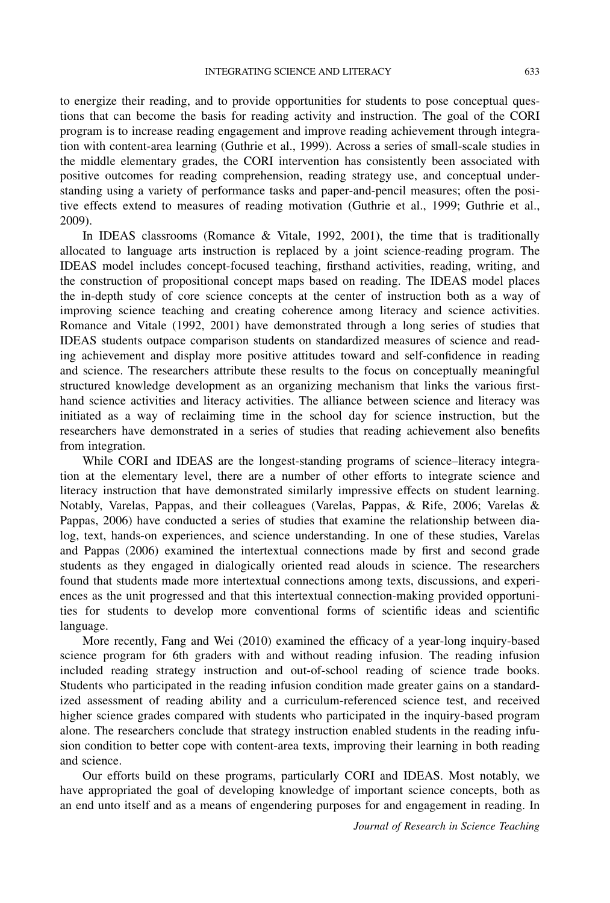to energize their reading, and to provide opportunities for students to pose conceptual questions that can become the basis for reading activity and instruction. The goal of the CORI program is to increase reading engagement and improve reading achievement through integration with content-area learning (Guthrie et al., 1999). Across a series of small-scale studies in the middle elementary grades, the CORI intervention has consistently been associated with positive outcomes for reading comprehension, reading strategy use, and conceptual understanding using a variety of performance tasks and paper-and-pencil measures; often the positive effects extend to measures of reading motivation (Guthrie et al., 1999; Guthrie et al., 2009).

In IDEAS classrooms (Romance & Vitale, 1992, 2001), the time that is traditionally allocated to language arts instruction is replaced by a joint science-reading program. The IDEAS model includes concept-focused teaching, firsthand activities, reading, writing, and the construction of propositional concept maps based on reading. The IDEAS model places the in-depth study of core science concepts at the center of instruction both as a way of improving science teaching and creating coherence among literacy and science activities. Romance and Vitale (1992, 2001) have demonstrated through a long series of studies that IDEAS students outpace comparison students on standardized measures of science and reading achievement and display more positive attitudes toward and self-confidence in reading and science. The researchers attribute these results to the focus on conceptually meaningful structured knowledge development as an organizing mechanism that links the various firsthand science activities and literacy activities. The alliance between science and literacy was initiated as a way of reclaiming time in the school day for science instruction, but the researchers have demonstrated in a series of studies that reading achievement also benefits from integration.

While CORI and IDEAS are the longest-standing programs of science–literacy integration at the elementary level, there are a number of other efforts to integrate science and literacy instruction that have demonstrated similarly impressive effects on student learning. Notably, Varelas, Pappas, and their colleagues (Varelas, Pappas, & Rife, 2006; Varelas & Pappas, 2006) have conducted a series of studies that examine the relationship between dialog, text, hands-on experiences, and science understanding. In one of these studies, Varelas and Pappas (2006) examined the intertextual connections made by first and second grade students as they engaged in dialogically oriented read alouds in science. The researchers found that students made more intertextual connections among texts, discussions, and experiences as the unit progressed and that this intertextual connection-making provided opportunities for students to develop more conventional forms of scientific ideas and scientific language.

More recently, Fang and Wei (2010) examined the efficacy of a year-long inquiry-based science program for 6th graders with and without reading infusion. The reading infusion included reading strategy instruction and out-of-school reading of science trade books. Students who participated in the reading infusion condition made greater gains on a standardized assessment of reading ability and a curriculum-referenced science test, and received higher science grades compared with students who participated in the inquiry-based program alone. The researchers conclude that strategy instruction enabled students in the reading infusion condition to better cope with content-area texts, improving their learning in both reading and science.

Our efforts build on these programs, particularly CORI and IDEAS. Most notably, we have appropriated the goal of developing knowledge of important science concepts, both as an end unto itself and as a means of engendering purposes for and engagement in reading. In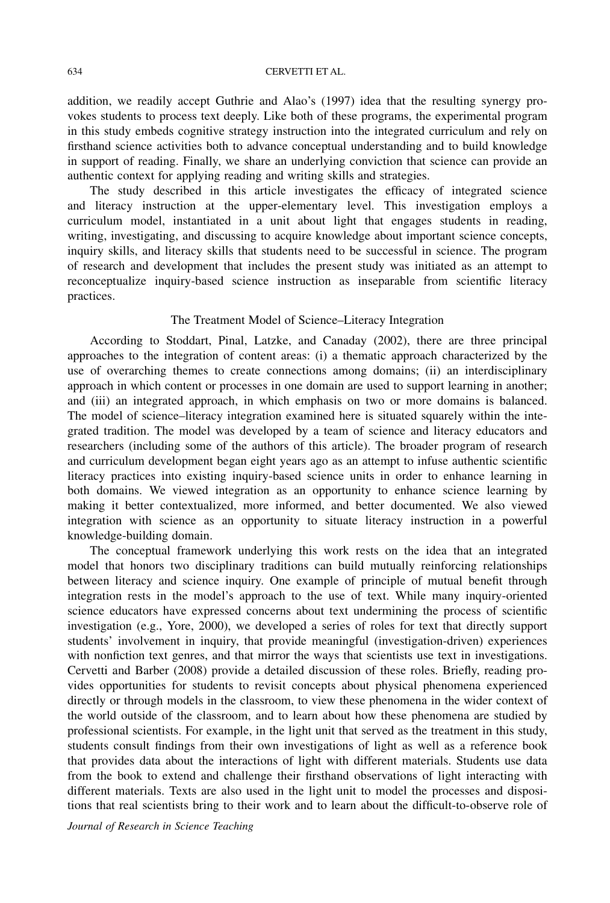addition, we readily accept Guthrie and Alao's (1997) idea that the resulting synergy provokes students to process text deeply. Like both of these programs, the experimental program in this study embeds cognitive strategy instruction into the integrated curriculum and rely on firsthand science activities both to advance conceptual understanding and to build knowledge in support of reading. Finally, we share an underlying conviction that science can provide an authentic context for applying reading and writing skills and strategies.

The study described in this article investigates the efficacy of integrated science and literacy instruction at the upper-elementary level. This investigation employs a curriculum model, instantiated in a unit about light that engages students in reading, writing, investigating, and discussing to acquire knowledge about important science concepts, inquiry skills, and literacy skills that students need to be successful in science. The program of research and development that includes the present study was initiated as an attempt to reconceptualize inquiry-based science instruction as inseparable from scientific literacy practices.

### The Treatment Model of Science–Literacy Integration

According to Stoddart, Pinal, Latzke, and Canaday (2002), there are three principal approaches to the integration of content areas: (i) a thematic approach characterized by the use of overarching themes to create connections among domains; (ii) an interdisciplinary approach in which content or processes in one domain are used to support learning in another; and (iii) an integrated approach, in which emphasis on two or more domains is balanced. The model of science–literacy integration examined here is situated squarely within the integrated tradition. The model was developed by a team of science and literacy educators and researchers (including some of the authors of this article). The broader program of research and curriculum development began eight years ago as an attempt to infuse authentic scientific literacy practices into existing inquiry-based science units in order to enhance learning in both domains. We viewed integration as an opportunity to enhance science learning by making it better contextualized, more informed, and better documented. We also viewed integration with science as an opportunity to situate literacy instruction in a powerful knowledge-building domain.

The conceptual framework underlying this work rests on the idea that an integrated model that honors two disciplinary traditions can build mutually reinforcing relationships between literacy and science inquiry. One example of principle of mutual benefit through integration rests in the model's approach to the use of text. While many inquiry-oriented science educators have expressed concerns about text undermining the process of scientific investigation (e.g., Yore, 2000), we developed a series of roles for text that directly support students' involvement in inquiry, that provide meaningful (investigation-driven) experiences with nonfiction text genres, and that mirror the ways that scientists use text in investigations. Cervetti and Barber (2008) provide a detailed discussion of these roles. Briefly, reading provides opportunities for students to revisit concepts about physical phenomena experienced directly or through models in the classroom, to view these phenomena in the wider context of the world outside of the classroom, and to learn about how these phenomena are studied by professional scientists. For example, in the light unit that served as the treatment in this study, students consult findings from their own investigations of light as well as a reference book that provides data about the interactions of light with different materials. Students use data from the book to extend and challenge their firsthand observations of light interacting with different materials. Texts are also used in the light unit to model the processes and dispositions that real scientists bring to their work and to learn about the difficult-to-observe role of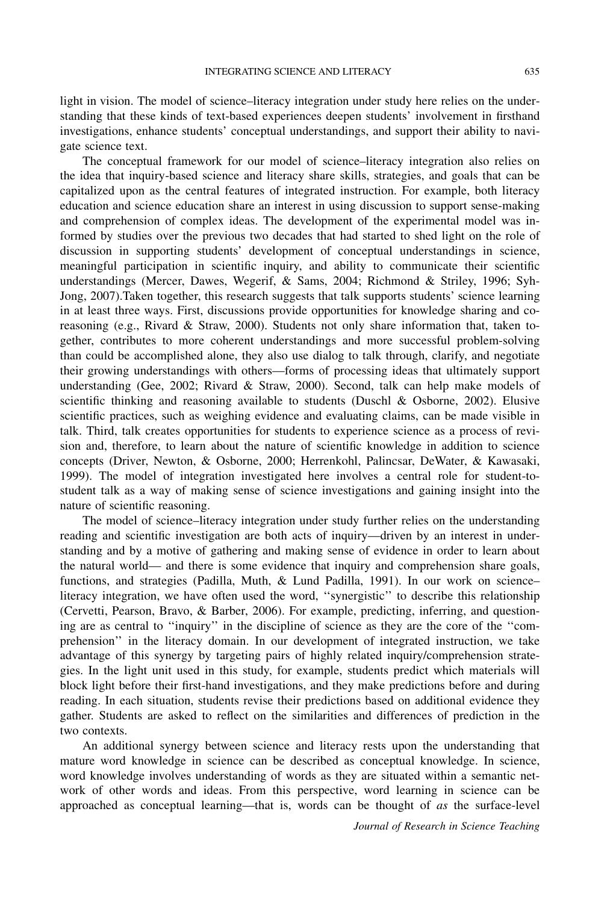light in vision. The model of science–literacy integration under study here relies on the understanding that these kinds of text-based experiences deepen students' involvement in firsthand investigations, enhance students' conceptual understandings, and support their ability to navigate science text.

The conceptual framework for our model of science–literacy integration also relies on the idea that inquiry-based science and literacy share skills, strategies, and goals that can be capitalized upon as the central features of integrated instruction. For example, both literacy education and science education share an interest in using discussion to support sense-making and comprehension of complex ideas. The development of the experimental model was informed by studies over the previous two decades that had started to shed light on the role of discussion in supporting students' development of conceptual understandings in science, meaningful participation in scientific inquiry, and ability to communicate their scientific understandings (Mercer, Dawes, Wegerif, & Sams, 2004; Richmond & Striley, 1996; Syh-Jong, 2007).Taken together, this research suggests that talk supports students' science learning in at least three ways. First, discussions provide opportunities for knowledge sharing and coreasoning (e.g., Rivard & Straw, 2000). Students not only share information that, taken together, contributes to more coherent understandings and more successful problem-solving than could be accomplished alone, they also use dialog to talk through, clarify, and negotiate their growing understandings with others—forms of processing ideas that ultimately support understanding (Gee, 2002; Rivard & Straw, 2000). Second, talk can help make models of scientific thinking and reasoning available to students (Duschl & Osborne, 2002). Elusive scientific practices, such as weighing evidence and evaluating claims, can be made visible in talk. Third, talk creates opportunities for students to experience science as a process of revision and, therefore, to learn about the nature of scientific knowledge in addition to science concepts (Driver, Newton, & Osborne, 2000; Herrenkohl, Palincsar, DeWater, & Kawasaki, 1999). The model of integration investigated here involves a central role for student-tostudent talk as a way of making sense of science investigations and gaining insight into the nature of scientific reasoning.

The model of science–literacy integration under study further relies on the understanding reading and scientific investigation are both acts of inquiry—driven by an interest in understanding and by a motive of gathering and making sense of evidence in order to learn about the natural world— and there is some evidence that inquiry and comprehension share goals, functions, and strategies (Padilla, Muth, & Lund Padilla, 1991). In our work on science– literacy integration, we have often used the word, ''synergistic'' to describe this relationship (Cervetti, Pearson, Bravo, & Barber, 2006). For example, predicting, inferring, and questioning are as central to ''inquiry'' in the discipline of science as they are the core of the ''comprehension'' in the literacy domain. In our development of integrated instruction, we take advantage of this synergy by targeting pairs of highly related inquiry/comprehension strategies. In the light unit used in this study, for example, students predict which materials will block light before their first-hand investigations, and they make predictions before and during reading. In each situation, students revise their predictions based on additional evidence they gather. Students are asked to reflect on the similarities and differences of prediction in the two contexts.

An additional synergy between science and literacy rests upon the understanding that mature word knowledge in science can be described as conceptual knowledge. In science, word knowledge involves understanding of words as they are situated within a semantic network of other words and ideas. From this perspective, word learning in science can be approached as conceptual learning—that is, words can be thought of as the surface-level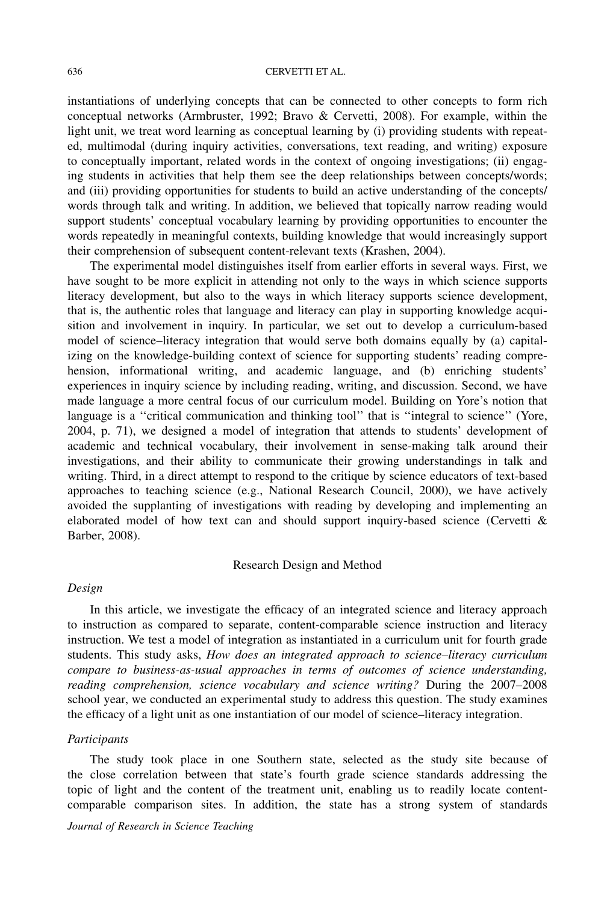instantiations of underlying concepts that can be connected to other concepts to form rich conceptual networks (Armbruster, 1992; Bravo & Cervetti, 2008). For example, within the light unit, we treat word learning as conceptual learning by (i) providing students with repeated, multimodal (during inquiry activities, conversations, text reading, and writing) exposure to conceptually important, related words in the context of ongoing investigations; (ii) engaging students in activities that help them see the deep relationships between concepts/words; and (iii) providing opportunities for students to build an active understanding of the concepts/ words through talk and writing. In addition, we believed that topically narrow reading would support students' conceptual vocabulary learning by providing opportunities to encounter the words repeatedly in meaningful contexts, building knowledge that would increasingly support their comprehension of subsequent content-relevant texts (Krashen, 2004).

The experimental model distinguishes itself from earlier efforts in several ways. First, we have sought to be more explicit in attending not only to the ways in which science supports literacy development, but also to the ways in which literacy supports science development, that is, the authentic roles that language and literacy can play in supporting knowledge acquisition and involvement in inquiry. In particular, we set out to develop a curriculum-based model of science–literacy integration that would serve both domains equally by (a) capitalizing on the knowledge-building context of science for supporting students' reading comprehension, informational writing, and academic language, and (b) enriching students' experiences in inquiry science by including reading, writing, and discussion. Second, we have made language a more central focus of our curriculum model. Building on Yore's notion that language is a "critical communication and thinking tool" that is "integral to science" (Yore, 2004, p. 71), we designed a model of integration that attends to students' development of academic and technical vocabulary, their involvement in sense-making talk around their investigations, and their ability to communicate their growing understandings in talk and writing. Third, in a direct attempt to respond to the critique by science educators of text-based approaches to teaching science (e.g., National Research Council, 2000), we have actively avoided the supplanting of investigations with reading by developing and implementing an elaborated model of how text can and should support inquiry-based science (Cervetti & Barber, 2008).

## Research Design and Method

### Design

In this article, we investigate the efficacy of an integrated science and literacy approach to instruction as compared to separate, content-comparable science instruction and literacy instruction. We test a model of integration as instantiated in a curriculum unit for fourth grade students. This study asks, How does an integrated approach to science–literacy curriculum compare to business-as-usual approaches in terms of outcomes of science understanding, reading comprehension, science vocabulary and science writing? During the 2007–2008 school year, we conducted an experimental study to address this question. The study examines the efficacy of a light unit as one instantiation of our model of science–literacy integration.

### Participants

The study took place in one Southern state, selected as the study site because of the close correlation between that state's fourth grade science standards addressing the topic of light and the content of the treatment unit, enabling us to readily locate contentcomparable comparison sites. In addition, the state has a strong system of standards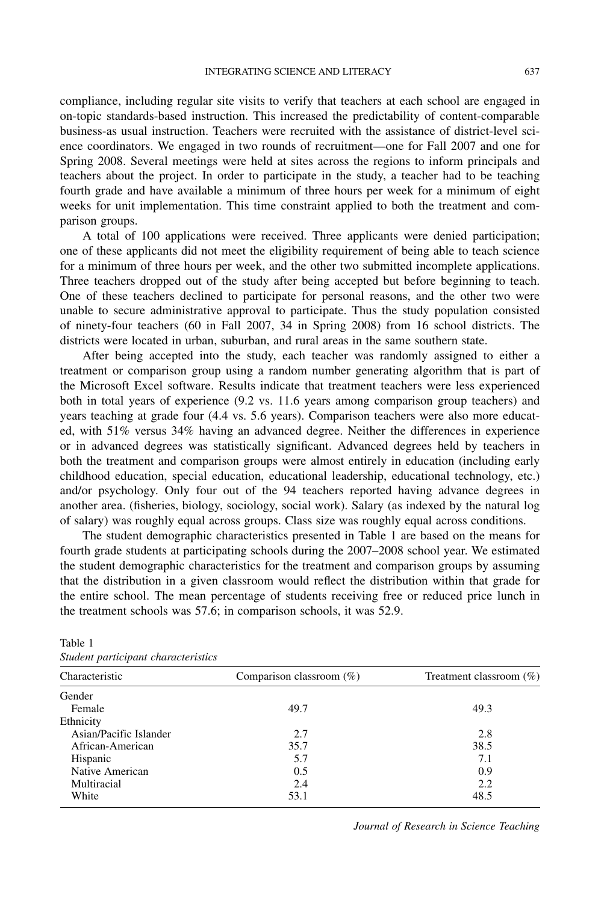compliance, including regular site visits to verify that teachers at each school are engaged in on-topic standards-based instruction. This increased the predictability of content-comparable business-as usual instruction. Teachers were recruited with the assistance of district-level science coordinators. We engaged in two rounds of recruitment—one for Fall 2007 and one for Spring 2008. Several meetings were held at sites across the regions to inform principals and teachers about the project. In order to participate in the study, a teacher had to be teaching fourth grade and have available a minimum of three hours per week for a minimum of eight weeks for unit implementation. This time constraint applied to both the treatment and comparison groups.

A total of 100 applications were received. Three applicants were denied participation; one of these applicants did not meet the eligibility requirement of being able to teach science for a minimum of three hours per week, and the other two submitted incomplete applications. Three teachers dropped out of the study after being accepted but before beginning to teach. One of these teachers declined to participate for personal reasons, and the other two were unable to secure administrative approval to participate. Thus the study population consisted of ninety-four teachers (60 in Fall 2007, 34 in Spring 2008) from 16 school districts. The districts were located in urban, suburban, and rural areas in the same southern state.

After being accepted into the study, each teacher was randomly assigned to either a treatment or comparison group using a random number generating algorithm that is part of the Microsoft Excel software. Results indicate that treatment teachers were less experienced both in total years of experience (9.2 vs. 11.6 years among comparison group teachers) and years teaching at grade four (4.4 vs. 5.6 years). Comparison teachers were also more educated, with 51% versus 34% having an advanced degree. Neither the differences in experience or in advanced degrees was statistically significant. Advanced degrees held by teachers in both the treatment and comparison groups were almost entirely in education (including early childhood education, special education, educational leadership, educational technology, etc.) and/or psychology. Only four out of the 94 teachers reported having advance degrees in another area. (fisheries, biology, sociology, social work). Salary (as indexed by the natural log of salary) was roughly equal across groups. Class size was roughly equal across conditions.

The student demographic characteristics presented in Table 1 are based on the means for fourth grade students at participating schools during the 2007–2008 school year. We estimated the student demographic characteristics for the treatment and comparison groups by assuming that the distribution in a given classroom would reflect the distribution within that grade for the entire school. The mean percentage of students receiving free or reduced price lunch in the treatment schools was 57.6; in comparison schools, it was 52.9.

| Characteristic         | Comparison classroom $(\%)$ | Treatment classroom $(\%)$ |
|------------------------|-----------------------------|----------------------------|
| Gender                 |                             |                            |
| Female                 | 49.7                        | 49.3                       |
| Ethnicity              |                             |                            |
| Asian/Pacific Islander | 2.7                         | 2.8                        |
| African-American       | 35.7                        | 38.5                       |
| Hispanic               | 5.7                         | 7.1                        |
| Native American        | 0.5                         | 0.9                        |
| Multiracial            | 2.4                         | 2.2                        |
| White                  | 53.1                        | 48.5                       |
|                        |                             |                            |

Table 1 Student participant characteristics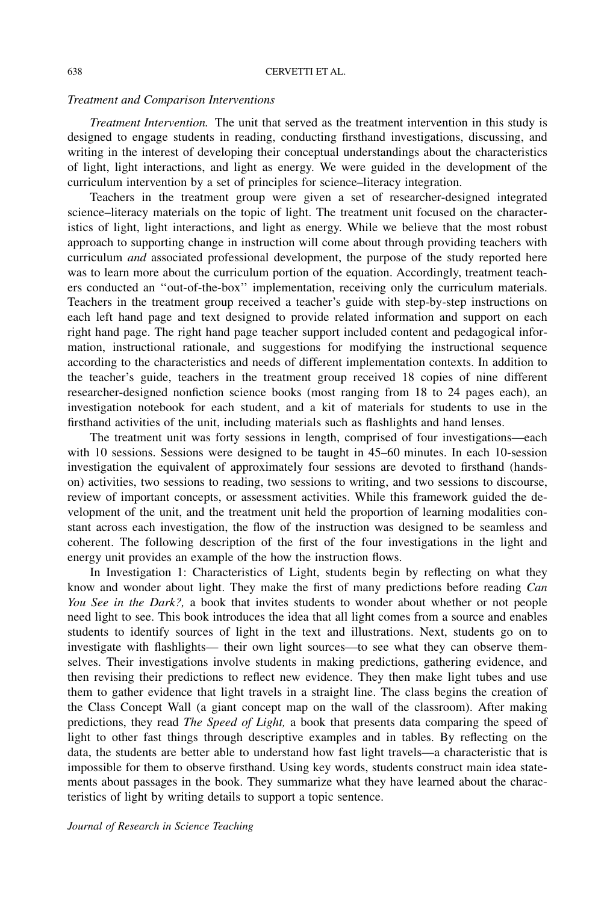### Treatment and Comparison Interventions

Treatment Intervention. The unit that served as the treatment intervention in this study is designed to engage students in reading, conducting firsthand investigations, discussing, and writing in the interest of developing their conceptual understandings about the characteristics of light, light interactions, and light as energy. We were guided in the development of the curriculum intervention by a set of principles for science–literacy integration.

Teachers in the treatment group were given a set of researcher-designed integrated science–literacy materials on the topic of light. The treatment unit focused on the characteristics of light, light interactions, and light as energy. While we believe that the most robust approach to supporting change in instruction will come about through providing teachers with curriculum *and* associated professional development, the purpose of the study reported here was to learn more about the curriculum portion of the equation. Accordingly, treatment teachers conducted an ''out-of-the-box'' implementation, receiving only the curriculum materials. Teachers in the treatment group received a teacher's guide with step-by-step instructions on each left hand page and text designed to provide related information and support on each right hand page. The right hand page teacher support included content and pedagogical information, instructional rationale, and suggestions for modifying the instructional sequence according to the characteristics and needs of different implementation contexts. In addition to the teacher's guide, teachers in the treatment group received 18 copies of nine different researcher-designed nonfiction science books (most ranging from 18 to 24 pages each), an investigation notebook for each student, and a kit of materials for students to use in the firsthand activities of the unit, including materials such as flashlights and hand lenses.

The treatment unit was forty sessions in length, comprised of four investigations—each with 10 sessions. Sessions were designed to be taught in 45–60 minutes. In each 10-session investigation the equivalent of approximately four sessions are devoted to firsthand (handson) activities, two sessions to reading, two sessions to writing, and two sessions to discourse, review of important concepts, or assessment activities. While this framework guided the development of the unit, and the treatment unit held the proportion of learning modalities constant across each investigation, the flow of the instruction was designed to be seamless and coherent. The following description of the first of the four investigations in the light and energy unit provides an example of the how the instruction flows.

In Investigation 1: Characteristics of Light, students begin by reflecting on what they know and wonder about light. They make the first of many predictions before reading *Can* You See in the Dark?, a book that invites students to wonder about whether or not people need light to see. This book introduces the idea that all light comes from a source and enables students to identify sources of light in the text and illustrations. Next, students go on to investigate with flashlights— their own light sources—to see what they can observe themselves. Their investigations involve students in making predictions, gathering evidence, and then revising their predictions to reflect new evidence. They then make light tubes and use them to gather evidence that light travels in a straight line. The class begins the creation of the Class Concept Wall (a giant concept map on the wall of the classroom). After making predictions, they read The Speed of Light, a book that presents data comparing the speed of light to other fast things through descriptive examples and in tables. By reflecting on the data, the students are better able to understand how fast light travels—a characteristic that is impossible for them to observe firsthand. Using key words, students construct main idea statements about passages in the book. They summarize what they have learned about the characteristics of light by writing details to support a topic sentence.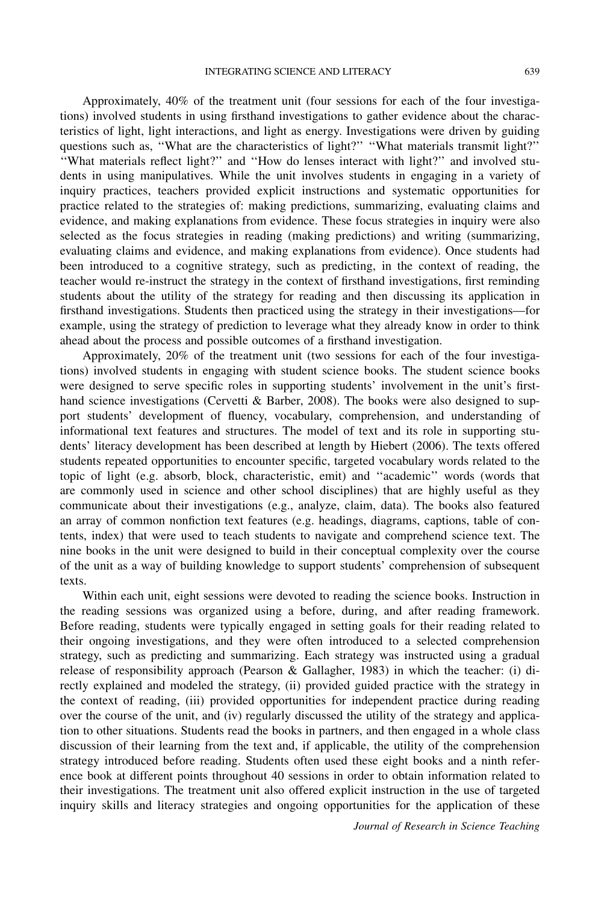Approximately, 40% of the treatment unit (four sessions for each of the four investigations) involved students in using firsthand investigations to gather evidence about the characteristics of light, light interactions, and light as energy. Investigations were driven by guiding questions such as, ''What are the characteristics of light?'' ''What materials transmit light?'' ''What materials reflect light?'' and ''How do lenses interact with light?'' and involved students in using manipulatives. While the unit involves students in engaging in a variety of inquiry practices, teachers provided explicit instructions and systematic opportunities for practice related to the strategies of: making predictions, summarizing, evaluating claims and evidence, and making explanations from evidence. These focus strategies in inquiry were also selected as the focus strategies in reading (making predictions) and writing (summarizing, evaluating claims and evidence, and making explanations from evidence). Once students had been introduced to a cognitive strategy, such as predicting, in the context of reading, the teacher would re-instruct the strategy in the context of firsthand investigations, first reminding students about the utility of the strategy for reading and then discussing its application in firsthand investigations. Students then practiced using the strategy in their investigations—for example, using the strategy of prediction to leverage what they already know in order to think ahead about the process and possible outcomes of a firsthand investigation.

Approximately, 20% of the treatment unit (two sessions for each of the four investigations) involved students in engaging with student science books. The student science books were designed to serve specific roles in supporting students' involvement in the unit's firsthand science investigations (Cervetti  $\&$  Barber, 2008). The books were also designed to support students' development of fluency, vocabulary, comprehension, and understanding of informational text features and structures. The model of text and its role in supporting students' literacy development has been described at length by Hiebert (2006). The texts offered students repeated opportunities to encounter specific, targeted vocabulary words related to the topic of light (e.g. absorb, block, characteristic, emit) and ''academic'' words (words that are commonly used in science and other school disciplines) that are highly useful as they communicate about their investigations (e.g., analyze, claim, data). The books also featured an array of common nonfiction text features (e.g. headings, diagrams, captions, table of contents, index) that were used to teach students to navigate and comprehend science text. The nine books in the unit were designed to build in their conceptual complexity over the course of the unit as a way of building knowledge to support students' comprehension of subsequent texts.

Within each unit, eight sessions were devoted to reading the science books. Instruction in the reading sessions was organized using a before, during, and after reading framework. Before reading, students were typically engaged in setting goals for their reading related to their ongoing investigations, and they were often introduced to a selected comprehension strategy, such as predicting and summarizing. Each strategy was instructed using a gradual release of responsibility approach (Pearson & Gallagher, 1983) in which the teacher: (i) directly explained and modeled the strategy, (ii) provided guided practice with the strategy in the context of reading, (iii) provided opportunities for independent practice during reading over the course of the unit, and (iv) regularly discussed the utility of the strategy and application to other situations. Students read the books in partners, and then engaged in a whole class discussion of their learning from the text and, if applicable, the utility of the comprehension strategy introduced before reading. Students often used these eight books and a ninth reference book at different points throughout 40 sessions in order to obtain information related to their investigations. The treatment unit also offered explicit instruction in the use of targeted inquiry skills and literacy strategies and ongoing opportunities for the application of these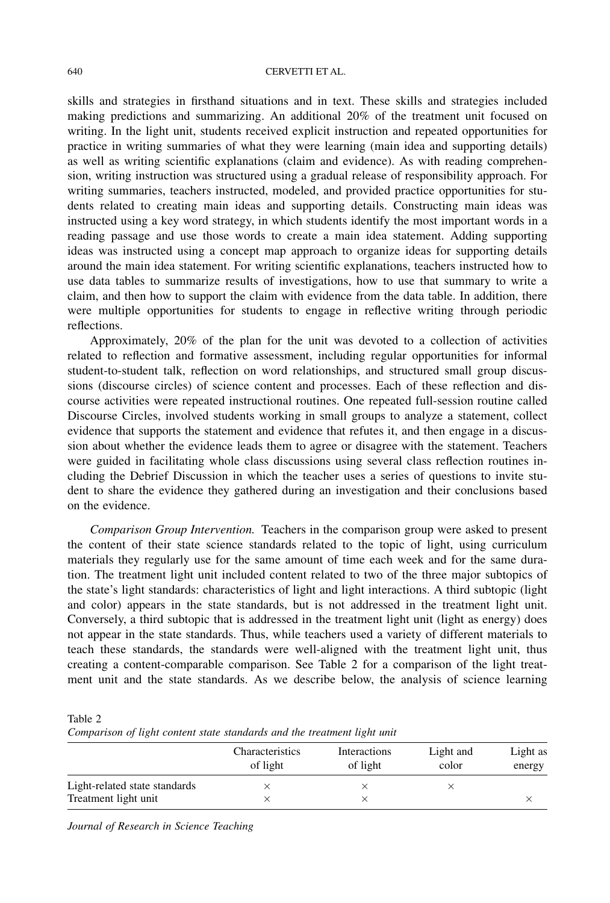skills and strategies in firsthand situations and in text. These skills and strategies included making predictions and summarizing. An additional 20% of the treatment unit focused on writing. In the light unit, students received explicit instruction and repeated opportunities for practice in writing summaries of what they were learning (main idea and supporting details) as well as writing scientific explanations (claim and evidence). As with reading comprehension, writing instruction was structured using a gradual release of responsibility approach. For writing summaries, teachers instructed, modeled, and provided practice opportunities for students related to creating main ideas and supporting details. Constructing main ideas was instructed using a key word strategy, in which students identify the most important words in a reading passage and use those words to create a main idea statement. Adding supporting ideas was instructed using a concept map approach to organize ideas for supporting details around the main idea statement. For writing scientific explanations, teachers instructed how to use data tables to summarize results of investigations, how to use that summary to write a claim, and then how to support the claim with evidence from the data table. In addition, there were multiple opportunities for students to engage in reflective writing through periodic reflections.

Approximately, 20% of the plan for the unit was devoted to a collection of activities related to reflection and formative assessment, including regular opportunities for informal student-to-student talk, reflection on word relationships, and structured small group discussions (discourse circles) of science content and processes. Each of these reflection and discourse activities were repeated instructional routines. One repeated full-session routine called Discourse Circles, involved students working in small groups to analyze a statement, collect evidence that supports the statement and evidence that refutes it, and then engage in a discussion about whether the evidence leads them to agree or disagree with the statement. Teachers were guided in facilitating whole class discussions using several class reflection routines including the Debrief Discussion in which the teacher uses a series of questions to invite student to share the evidence they gathered during an investigation and their conclusions based on the evidence.

Comparison Group Intervention. Teachers in the comparison group were asked to present the content of their state science standards related to the topic of light, using curriculum materials they regularly use for the same amount of time each week and for the same duration. The treatment light unit included content related to two of the three major subtopics of the state's light standards: characteristics of light and light interactions. A third subtopic (light and color) appears in the state standards, but is not addressed in the treatment light unit. Conversely, a third subtopic that is addressed in the treatment light unit (light as energy) does not appear in the state standards. Thus, while teachers used a variety of different materials to teach these standards, the standards were well-aligned with the treatment light unit, thus creating a content-comparable comparison. See Table 2 for a comparison of the light treatment unit and the state standards. As we describe below, the analysis of science learning

Table 2 Comparison of light content state standards and the treatment light unit

|                                                       | Characteristics | Interactions | Light and | Light as |
|-------------------------------------------------------|-----------------|--------------|-----------|----------|
|                                                       | of light        | of light     | color     | energy   |
| Light-related state standards<br>Treatment light unit |                 |              |           |          |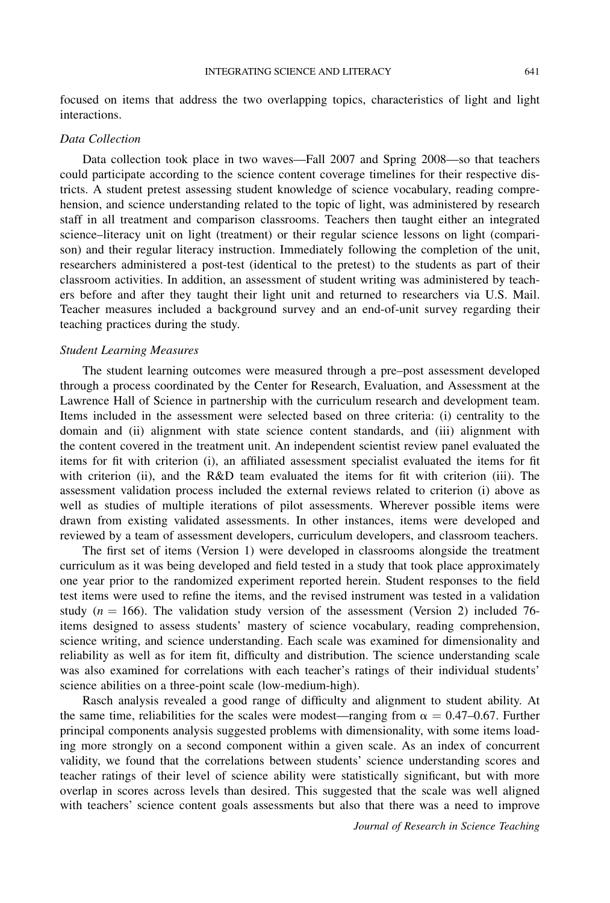focused on items that address the two overlapping topics, characteristics of light and light interactions.

# Data Collection

Data collection took place in two waves—Fall 2007 and Spring 2008—so that teachers could participate according to the science content coverage timelines for their respective districts. A student pretest assessing student knowledge of science vocabulary, reading comprehension, and science understanding related to the topic of light, was administered by research staff in all treatment and comparison classrooms. Teachers then taught either an integrated science–literacy unit on light (treatment) or their regular science lessons on light (comparison) and their regular literacy instruction. Immediately following the completion of the unit, researchers administered a post-test (identical to the pretest) to the students as part of their classroom activities. In addition, an assessment of student writing was administered by teachers before and after they taught their light unit and returned to researchers via U.S. Mail. Teacher measures included a background survey and an end-of-unit survey regarding their teaching practices during the study.

#### Student Learning Measures

The student learning outcomes were measured through a pre–post assessment developed through a process coordinated by the Center for Research, Evaluation, and Assessment at the Lawrence Hall of Science in partnership with the curriculum research and development team. Items included in the assessment were selected based on three criteria: (i) centrality to the domain and (ii) alignment with state science content standards, and (iii) alignment with the content covered in the treatment unit. An independent scientist review panel evaluated the items for fit with criterion (i), an affiliated assessment specialist evaluated the items for fit with criterion (ii), and the R&D team evaluated the items for fit with criterion (iii). The assessment validation process included the external reviews related to criterion (i) above as well as studies of multiple iterations of pilot assessments. Wherever possible items were drawn from existing validated assessments. In other instances, items were developed and reviewed by a team of assessment developers, curriculum developers, and classroom teachers.

The first set of items (Version 1) were developed in classrooms alongside the treatment curriculum as it was being developed and field tested in a study that took place approximately one year prior to the randomized experiment reported herein. Student responses to the field test items were used to refine the items, and the revised instrument was tested in a validation study ( $n = 166$ ). The validation study version of the assessment (Version 2) included 76items designed to assess students' mastery of science vocabulary, reading comprehension, science writing, and science understanding. Each scale was examined for dimensionality and reliability as well as for item fit, difficulty and distribution. The science understanding scale was also examined for correlations with each teacher's ratings of their individual students' science abilities on a three-point scale (low-medium-high).

Rasch analysis revealed a good range of difficulty and alignment to student ability. At the same time, reliabilities for the scales were modest—ranging from  $\alpha = 0.47$ –0.67. Further principal components analysis suggested problems with dimensionality, with some items loading more strongly on a second component within a given scale. As an index of concurrent validity, we found that the correlations between students' science understanding scores and teacher ratings of their level of science ability were statistically significant, but with more overlap in scores across levels than desired. This suggested that the scale was well aligned with teachers' science content goals assessments but also that there was a need to improve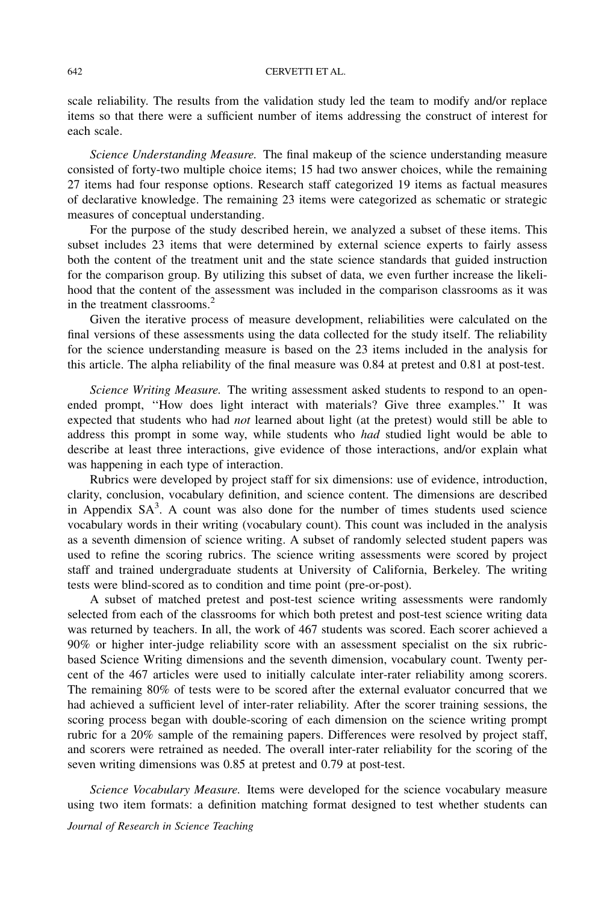scale reliability. The results from the validation study led the team to modify and/or replace items so that there were a sufficient number of items addressing the construct of interest for each scale.

Science Understanding Measure. The final makeup of the science understanding measure consisted of forty-two multiple choice items; 15 had two answer choices, while the remaining 27 items had four response options. Research staff categorized 19 items as factual measures of declarative knowledge. The remaining 23 items were categorized as schematic or strategic measures of conceptual understanding.

For the purpose of the study described herein, we analyzed a subset of these items. This subset includes 23 items that were determined by external science experts to fairly assess both the content of the treatment unit and the state science standards that guided instruction for the comparison group. By utilizing this subset of data, we even further increase the likelihood that the content of the assessment was included in the comparison classrooms as it was in the treatment classrooms.<sup>2</sup>

Given the iterative process of measure development, reliabilities were calculated on the final versions of these assessments using the data collected for the study itself. The reliability for the science understanding measure is based on the 23 items included in the analysis for this article. The alpha reliability of the final measure was 0.84 at pretest and 0.81 at post-test.

Science Writing Measure. The writing assessment asked students to respond to an openended prompt, ''How does light interact with materials? Give three examples.'' It was expected that students who had *not* learned about light (at the pretest) would still be able to address this prompt in some way, while students who had studied light would be able to describe at least three interactions, give evidence of those interactions, and/or explain what was happening in each type of interaction.

Rubrics were developed by project staff for six dimensions: use of evidence, introduction, clarity, conclusion, vocabulary definition, and science content. The dimensions are described in Appendix SA<sup>3</sup>. A count was also done for the number of times students used science vocabulary words in their writing (vocabulary count). This count was included in the analysis as a seventh dimension of science writing. A subset of randomly selected student papers was used to refine the scoring rubrics. The science writing assessments were scored by project staff and trained undergraduate students at University of California, Berkeley. The writing tests were blind-scored as to condition and time point (pre-or-post).

A subset of matched pretest and post-test science writing assessments were randomly selected from each of the classrooms for which both pretest and post-test science writing data was returned by teachers. In all, the work of 467 students was scored. Each scorer achieved a 90% or higher inter-judge reliability score with an assessment specialist on the six rubricbased Science Writing dimensions and the seventh dimension, vocabulary count. Twenty percent of the 467 articles were used to initially calculate inter-rater reliability among scorers. The remaining 80% of tests were to be scored after the external evaluator concurred that we had achieved a sufficient level of inter-rater reliability. After the scorer training sessions, the scoring process began with double-scoring of each dimension on the science writing prompt rubric for a 20% sample of the remaining papers. Differences were resolved by project staff, and scorers were retrained as needed. The overall inter-rater reliability for the scoring of the seven writing dimensions was 0.85 at pretest and 0.79 at post-test.

Science Vocabulary Measure. Items were developed for the science vocabulary measure using two item formats: a definition matching format designed to test whether students can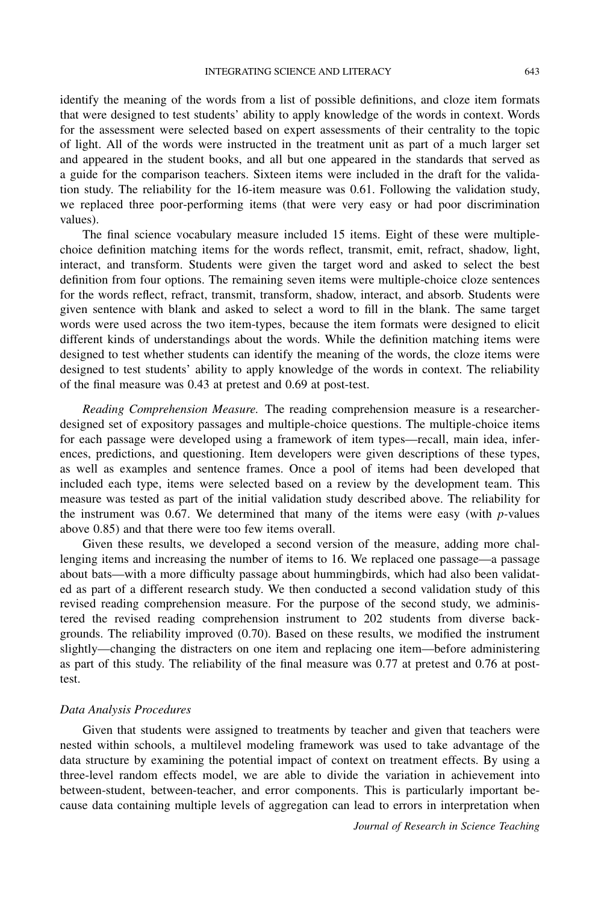identify the meaning of the words from a list of possible definitions, and cloze item formats that were designed to test students' ability to apply knowledge of the words in context. Words for the assessment were selected based on expert assessments of their centrality to the topic of light. All of the words were instructed in the treatment unit as part of a much larger set and appeared in the student books, and all but one appeared in the standards that served as a guide for the comparison teachers. Sixteen items were included in the draft for the validation study. The reliability for the 16-item measure was 0.61. Following the validation study, we replaced three poor-performing items (that were very easy or had poor discrimination values).

The final science vocabulary measure included 15 items. Eight of these were multiplechoice definition matching items for the words reflect, transmit, emit, refract, shadow, light, interact, and transform. Students were given the target word and asked to select the best definition from four options. The remaining seven items were multiple-choice cloze sentences for the words reflect, refract, transmit, transform, shadow, interact, and absorb. Students were given sentence with blank and asked to select a word to fill in the blank. The same target words were used across the two item-types, because the item formats were designed to elicit different kinds of understandings about the words. While the definition matching items were designed to test whether students can identify the meaning of the words, the cloze items were designed to test students' ability to apply knowledge of the words in context. The reliability of the final measure was 0.43 at pretest and 0.69 at post-test.

Reading Comprehension Measure. The reading comprehension measure is a researcherdesigned set of expository passages and multiple-choice questions. The multiple-choice items for each passage were developed using a framework of item types—recall, main idea, inferences, predictions, and questioning. Item developers were given descriptions of these types, as well as examples and sentence frames. Once a pool of items had been developed that included each type, items were selected based on a review by the development team. This measure was tested as part of the initial validation study described above. The reliability for the instrument was  $0.67$ . We determined that many of the items were easy (with p-values above 0.85) and that there were too few items overall.

Given these results, we developed a second version of the measure, adding more challenging items and increasing the number of items to 16. We replaced one passage—a passage about bats—with a more difficulty passage about hummingbirds, which had also been validated as part of a different research study. We then conducted a second validation study of this revised reading comprehension measure. For the purpose of the second study, we administered the revised reading comprehension instrument to 202 students from diverse backgrounds. The reliability improved (0.70). Based on these results, we modified the instrument slightly—changing the distracters on one item and replacing one item—before administering as part of this study. The reliability of the final measure was 0.77 at pretest and 0.76 at posttest.

#### Data Analysis Procedures

Given that students were assigned to treatments by teacher and given that teachers were nested within schools, a multilevel modeling framework was used to take advantage of the data structure by examining the potential impact of context on treatment effects. By using a three-level random effects model, we are able to divide the variation in achievement into between-student, between-teacher, and error components. This is particularly important because data containing multiple levels of aggregation can lead to errors in interpretation when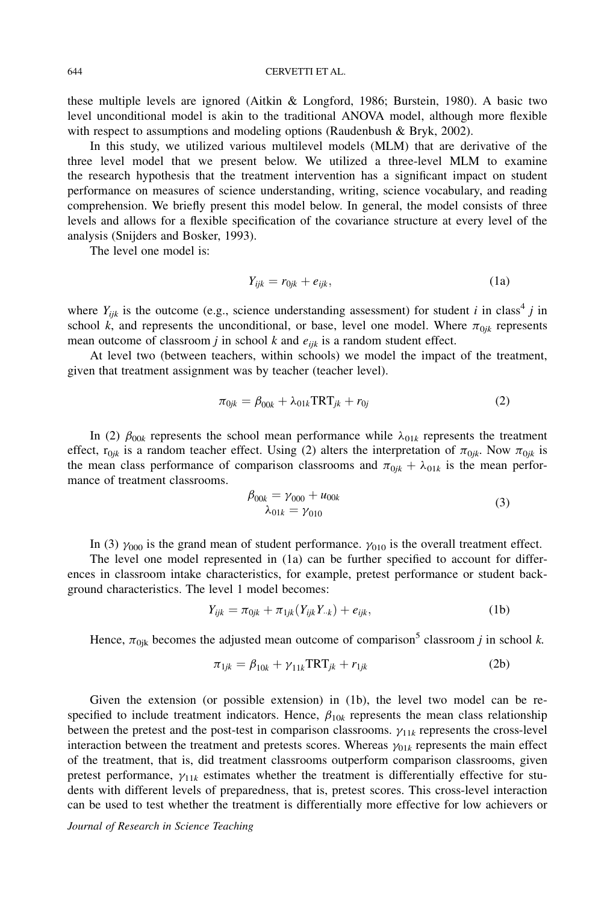these multiple levels are ignored (Aitkin & Longford, 1986; Burstein, 1980). A basic two level unconditional model is akin to the traditional ANOVA model, although more flexible with respect to assumptions and modeling options (Raudenbush & Bryk, 2002).

In this study, we utilized various multilevel models (MLM) that are derivative of the three level model that we present below. We utilized a three-level MLM to examine the research hypothesis that the treatment intervention has a significant impact on student performance on measures of science understanding, writing, science vocabulary, and reading comprehension. We briefly present this model below. In general, the model consists of three levels and allows for a flexible specification of the covariance structure at every level of the analysis (Snijders and Bosker, 1993).

The level one model is:

$$
Y_{ijk} = r_{0jk} + e_{ijk}, \qquad (1a)
$$

where  $Y_{ijk}$  is the outcome (e.g., science understanding assessment) for student i in class<sup>4</sup> j in school k, and represents the unconditional, or base, level one model. Where  $\pi_{0ik}$  represents mean outcome of classroom *j* in school *k* and  $e_{ijk}$  is a random student effect.

At level two (between teachers, within schools) we model the impact of the treatment, given that treatment assignment was by teacher (teacher level).

$$
\pi_{0jk} = \beta_{00k} + \lambda_{01k} \text{TRT}_{jk} + r_{0j} \tag{2}
$$

In (2)  $\beta_{00k}$  represents the school mean performance while  $\lambda_{01k}$  represents the treatment effect,  $r_{0jk}$  is a random teacher effect. Using (2) alters the interpretation of  $\pi_{0jk}$ . Now  $\pi_{0jk}$  is the mean class performance of comparison classrooms and  $\pi_{0ik} + \lambda_{01k}$  is the mean performance of treatment classrooms.

$$
\beta_{00k} = \gamma_{000} + u_{00k} \n\lambda_{01k} = \gamma_{010}
$$
\n(3)

In (3)  $\gamma_{000}$  is the grand mean of student performance.  $\gamma_{010}$  is the overall treatment effect.

The level one model represented in (1a) can be further specified to account for differences in classroom intake characteristics, for example, pretest performance or student background characteristics. The level 1 model becomes:

$$
Y_{ijk} = \pi_{0jk} + \pi_{1jk}(Y_{ijk}Y_{\cdot,k}) + e_{ijk},
$$
 (1b)

Hence,  $\pi_{0ik}$  becomes the adjusted mean outcome of comparison<sup>5</sup> classroom *j* in school *k*.

$$
\pi_{1jk} = \beta_{10k} + \gamma_{11k} \text{TRT}_{jk} + r_{1jk} \tag{2b}
$$

Given the extension (or possible extension) in (1b), the level two model can be respecified to include treatment indicators. Hence,  $\beta_{10k}$  represents the mean class relationship between the pretest and the post-test in comparison classrooms.  $\gamma_{11k}$  represents the cross-level interaction between the treatment and pretests scores. Whereas  $\gamma_{01k}$  represents the main effect of the treatment, that is, did treatment classrooms outperform comparison classrooms, given pretest performance,  $\gamma_{11k}$  estimates whether the treatment is differentially effective for students with different levels of preparedness, that is, pretest scores. This cross-level interaction can be used to test whether the treatment is differentially more effective for low achievers or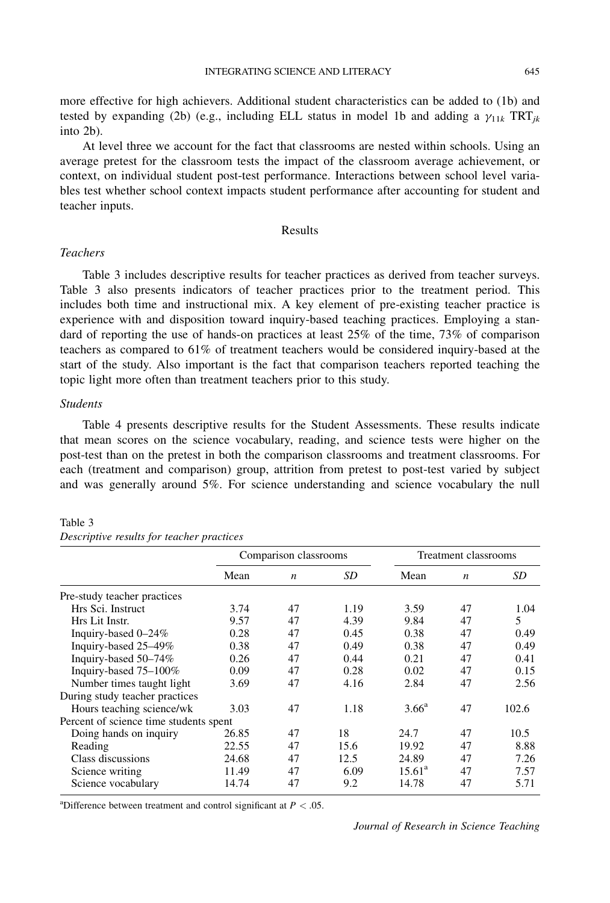more effective for high achievers. Additional student characteristics can be added to (1b) and tested by expanding (2b) (e.g., including ELL status in model 1b and adding a  $\gamma_{11k}$  TRT<sub>jk</sub> into 2b).

At level three we account for the fact that classrooms are nested within schools. Using an average pretest for the classroom tests the impact of the classroom average achievement, or context, on individual student post-test performance. Interactions between school level variables test whether school context impacts student performance after accounting for student and teacher inputs.

### Results

# **Teachers**

Table 3 includes descriptive results for teacher practices as derived from teacher surveys. Table 3 also presents indicators of teacher practices prior to the treatment period. This includes both time and instructional mix. A key element of pre-existing teacher practice is experience with and disposition toward inquiry-based teaching practices. Employing a standard of reporting the use of hands-on practices at least 25% of the time, 73% of comparison teachers as compared to 61% of treatment teachers would be considered inquiry-based at the start of the study. Also important is the fact that comparison teachers reported teaching the topic light more often than treatment teachers prior to this study.

# Students

Table 4 presents descriptive results for the Student Assessments. These results indicate that mean scores on the science vocabulary, reading, and science tests were higher on the post-test than on the pretest in both the comparison classrooms and treatment classrooms. For each (treatment and comparison) group, attrition from pretest to post-test varied by subject and was generally around 5%. For science understanding and science vocabulary the null

### Table 3

#### Descriptive results for teacher practices

|                                        | Comparison classrooms |                  |      | Treatment classrooms |                  |       |
|----------------------------------------|-----------------------|------------------|------|----------------------|------------------|-------|
|                                        | Mean                  | $\boldsymbol{n}$ | SD   | Mean                 | $\boldsymbol{n}$ | SD    |
| Pre-study teacher practices            |                       |                  |      |                      |                  |       |
| Hrs Sci. Instruct                      | 3.74                  | 47               | 1.19 | 3.59                 | 47               | 1.04  |
| Hrs Lit Instr.                         | 9.57                  | 47               | 4.39 | 9.84                 | 47               | 5     |
| Inquiry-based 0-24%                    | 0.28                  | 47               | 0.45 | 0.38                 | 47               | 0.49  |
| Inquiry-based 25-49%                   | 0.38                  | 47               | 0.49 | 0.38                 | 47               | 0.49  |
| Inquiry-based 50-74%                   | 0.26                  | 47               | 0.44 | 0.21                 | 47               | 0.41  |
| Inquiry-based 75-100%                  | 0.09                  | 47               | 0.28 | 0.02                 | 47               | 0.15  |
| Number times taught light              | 3.69                  | 47               | 4.16 | 2.84                 | 47               | 2.56  |
| During study teacher practices         |                       |                  |      |                      |                  |       |
| Hours teaching science/wk              | 3.03                  | 47               | 1.18 | 3.66 <sup>a</sup>    | 47               | 102.6 |
| Percent of science time students spent |                       |                  |      |                      |                  |       |
| Doing hands on inquiry                 | 26.85                 | 47               | 18   | 24.7                 | 47               | 10.5  |
| Reading                                | 22.55                 | 47               | 15.6 | 19.92                | 47               | 8.88  |
| Class discussions                      | 24.68                 | 47               | 12.5 | 24.89                | 47               | 7.26  |
| Science writing                        | 11.49                 | 47               | 6.09 | $15.61^{\rm a}$      | 47               | 7.57  |
| Science vocabulary                     | 14.74                 | 47               | 9.2  | 14.78                | 47               | 5.71  |

<sup>a</sup>Difference between treatment and control significant at  $P < .05$ .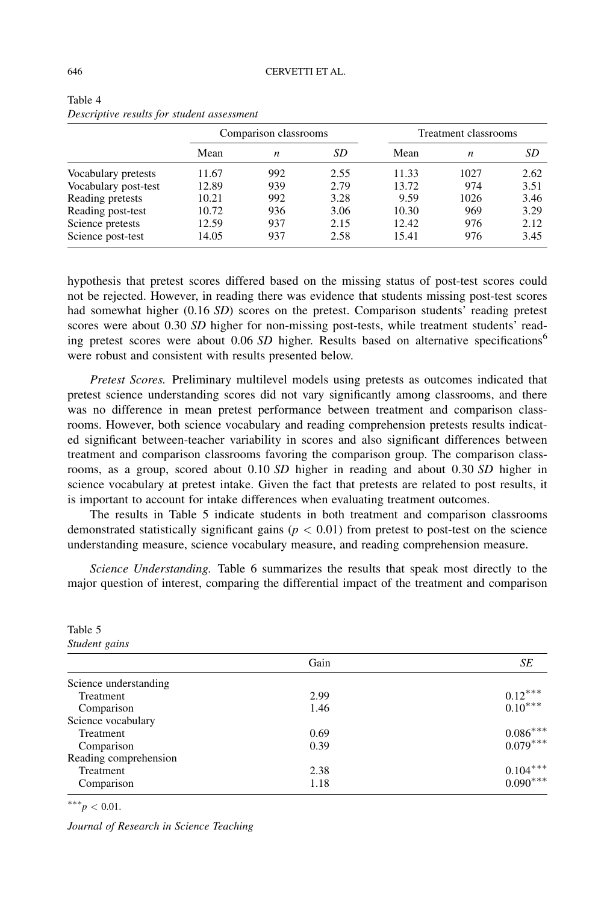|                      | Comparison classrooms |     |      | Treatment classrooms |      |      |
|----------------------|-----------------------|-----|------|----------------------|------|------|
|                      | Mean                  | n   | SD   | Mean                 | n    | SD   |
| Vocabulary pretests  | 11.67                 | 992 | 2.55 | 11.33                | 1027 | 2.62 |
| Vocabulary post-test | 12.89                 | 939 | 2.79 | 13.72                | 974  | 3.51 |
| Reading pretests     | 10.21                 | 992 | 3.28 | 9.59                 | 1026 | 3.46 |
| Reading post-test    | 10.72                 | 936 | 3.06 | 10.30                | 969  | 3.29 |
| Science pretests     | 12.59                 | 937 | 2.15 | 12.42                | 976  | 2.12 |
| Science post-test    | 14.05                 | 937 | 2.58 | 15.41                | 976  | 3.45 |

Table 4 Descriptive results for student assessment

hypothesis that pretest scores differed based on the missing status of post-test scores could not be rejected. However, in reading there was evidence that students missing post-test scores had somewhat higher (0.16 SD) scores on the pretest. Comparison students' reading pretest scores were about 0.30 SD higher for non-missing post-tests, while treatment students' reading pretest scores were about 0.06  $SD$  higher. Results based on alternative specifications<sup>6</sup> were robust and consistent with results presented below.

Pretest Scores. Preliminary multilevel models using pretests as outcomes indicated that pretest science understanding scores did not vary significantly among classrooms, and there was no difference in mean pretest performance between treatment and comparison classrooms. However, both science vocabulary and reading comprehension pretests results indicated significant between-teacher variability in scores and also significant differences between treatment and comparison classrooms favoring the comparison group. The comparison classrooms, as a group, scored about 0.10 SD higher in reading and about 0.30 SD higher in science vocabulary at pretest intake. Given the fact that pretests are related to post results, it is important to account for intake differences when evaluating treatment outcomes.

The results in Table 5 indicate students in both treatment and comparison classrooms demonstrated statistically significant gains ( $p < 0.01$ ) from pretest to post-test on the science understanding measure, science vocabulary measure, and reading comprehension measure.

Science Understanding. Table 6 summarizes the results that speak most directly to the major question of interest, comparing the differential impact of the treatment and comparison

| suudent gains         |      |                          |  |  |  |
|-----------------------|------|--------------------------|--|--|--|
|                       | Gain | SE                       |  |  |  |
| Science understanding |      |                          |  |  |  |
| Treatment             | 2.99 | $0.12***$<br>$0.10***$   |  |  |  |
| Comparison            | 1.46 |                          |  |  |  |
| Science vocabulary    |      |                          |  |  |  |
| Treatment             | 0.69 | $0.086***$<br>$0.079***$ |  |  |  |
| Comparison            | 0.39 |                          |  |  |  |
| Reading comprehension |      |                          |  |  |  |
| Treatment             | 2.38 | $0.104***$ $0.090***$    |  |  |  |
| Comparison            | 1.18 |                          |  |  |  |

Table 5 Student gains

 $***p < 0.01$ .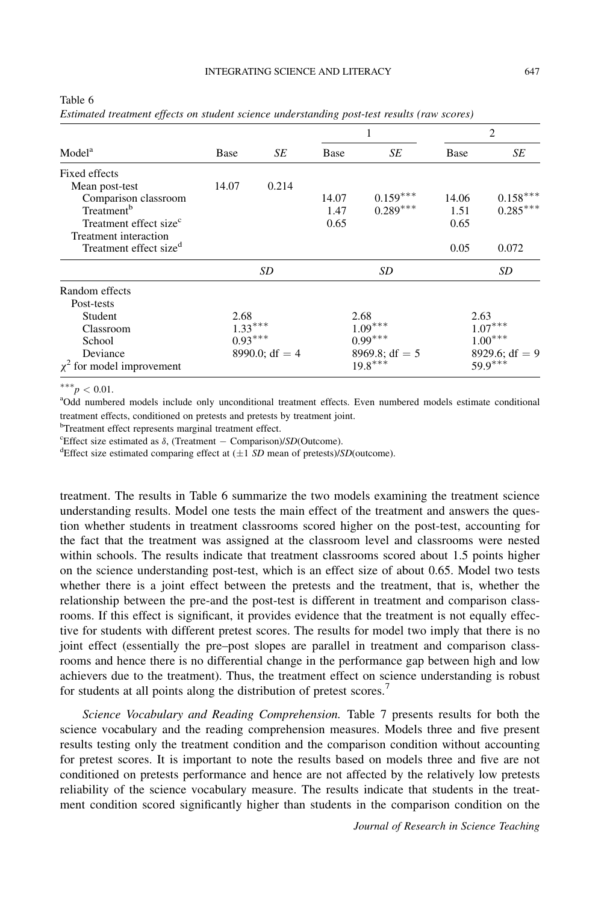#### INTEGRATING SCIENCE AND LITERACY

| I<br>۰. | ۰ |
|---------|---|

Estimated treatment effects on student science understanding post-test results (raw scores)

|                                    |           |                  | 1     |                   | $\overline{c}$ |                   |
|------------------------------------|-----------|------------------|-------|-------------------|----------------|-------------------|
| Model <sup>a</sup>                 | Base      | SE               | Base  | SE                | Base           | SE                |
| Fixed effects<br>Mean post-test    | 14.07     | 0.214            |       |                   |                |                   |
| Comparison classroom               |           |                  | 14.07 | $0.159***$        | 14.06          | $0.158***$        |
| Treatment <sup>b</sup>             |           |                  | 1.47  | $0.289***$        | 1.51           | $0.285***$        |
| Treatment effect size <sup>c</sup> |           |                  | 0.65  |                   | 0.65           |                   |
| Treatment interaction              |           |                  |       |                   |                |                   |
| Treatment effect size <sup>d</sup> |           |                  |       |                   | 0.05           | 0.072             |
|                                    |           | <b>SD</b>        |       | SD                |                | SD                |
| Random effects                     |           |                  |       |                   |                |                   |
| Post-tests                         |           |                  |       |                   |                |                   |
| Student                            | 2.68      |                  |       | 2.68              | 2.63           |                   |
| Classroom                          | $1.33***$ |                  |       | $1.09***$         |                | $1.07***$         |
| School                             | $0.93***$ |                  |       | $0.99***$         |                | $1.00***$         |
| Deviance                           |           | 8990.0; $df = 4$ |       | $8969.8$ ; df = 5 |                | $8929.6$ ; df = 9 |
| $\chi^2$ for model improvement     |           |                  |       | $19.8***$         |                | $59.9***$         |

\*\*\* $p < 0.01$ .

<sup>a</sup>Odd numbered models include only unconditional treatment effects. Even numbered models estimate conditional treatment effects, conditioned on pretests and pretests by treatment joint.

<sup>b</sup>Treatment effect represents marginal treatment effect.

Effect size estimated as  $\delta$ , (Treatment – Comparison)/SD(Outcome).<br>dEffect size estimated comparing effect at  $(\pm 1)$  SD mean of pretects)/

<sup>d</sup>Effect size estimated comparing effect at  $(\pm 1 \, SD \, \text{mean of \,} \text{pretests})/SD(\text{outcome}).$ 

treatment. The results in Table 6 summarize the two models examining the treatment science understanding results. Model one tests the main effect of the treatment and answers the question whether students in treatment classrooms scored higher on the post-test, accounting for the fact that the treatment was assigned at the classroom level and classrooms were nested within schools. The results indicate that treatment classrooms scored about 1.5 points higher on the science understanding post-test, which is an effect size of about 0.65. Model two tests whether there is a joint effect between the pretests and the treatment, that is, whether the relationship between the pre-and the post-test is different in treatment and comparison classrooms. If this effect is significant, it provides evidence that the treatment is not equally effective for students with different pretest scores. The results for model two imply that there is no joint effect (essentially the pre–post slopes are parallel in treatment and comparison classrooms and hence there is no differential change in the performance gap between high and low achievers due to the treatment). Thus, the treatment effect on science understanding is robust for students at all points along the distribution of pretest scores.<sup>7</sup>

Science Vocabulary and Reading Comprehension. Table 7 presents results for both the science vocabulary and the reading comprehension measures. Models three and five present results testing only the treatment condition and the comparison condition without accounting for pretest scores. It is important to note the results based on models three and five are not conditioned on pretests performance and hence are not affected by the relatively low pretests reliability of the science vocabulary measure. The results indicate that students in the treatment condition scored significantly higher than students in the comparison condition on the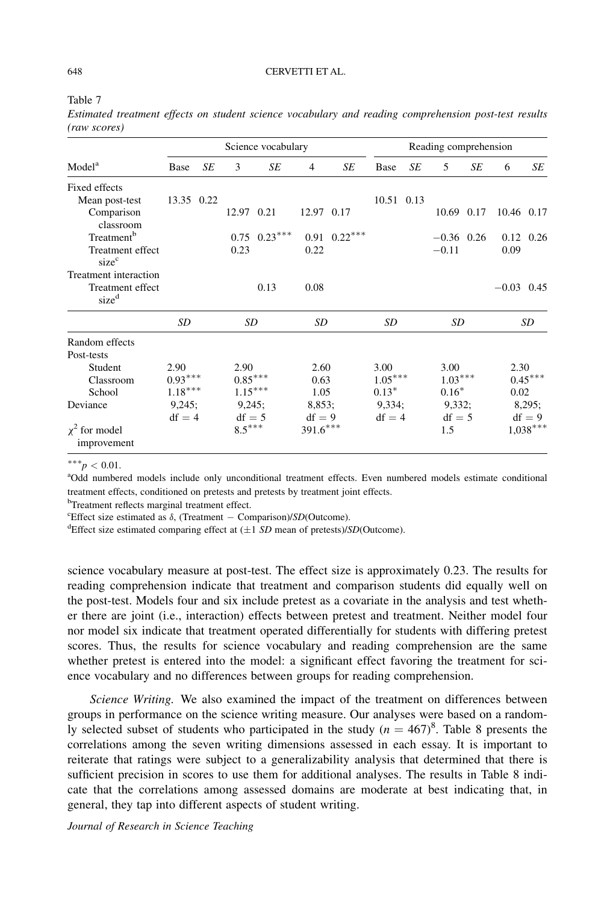| Science vocabulary                    |                       |    |            |                  | Reading comprehension |                  |            |    |              |    |              |                   |
|---------------------------------------|-----------------------|----|------------|------------------|-----------------------|------------------|------------|----|--------------|----|--------------|-------------------|
| Model <sup>a</sup>                    | <b>Base</b>           | SE | 3          | SE               | $\overline{4}$        | SE               | Base       | SE | 5            | SE | 6            | SE                |
| Fixed effects                         |                       |    |            |                  |                       |                  |            |    |              |    |              |                   |
| Mean post-test                        | 13.35 0.22            |    |            |                  |                       |                  | 10.51 0.13 |    |              |    |              |                   |
| Comparison<br>classroom               |                       |    | 12.97 0.21 |                  | 12.97 0.17            |                  |            |    | 10.69 0.17   |    | 10.46 0.17   |                   |
| Treatment <sup>b</sup>                |                       |    |            | $0.75$ $0.23***$ |                       | $0.91$ $0.22***$ |            |    | $-0.36$ 0.26 |    |              | $0.12 \quad 0.26$ |
| Treatment effect<br>size <sup>c</sup> |                       |    | 0.23       |                  | 0.22                  |                  |            |    | $-0.11$      |    | 0.09         |                   |
| Treatment interaction                 |                       |    |            |                  |                       |                  |            |    |              |    |              |                   |
| Treatment effect<br>size <sup>d</sup> |                       |    |            | 0.13             | 0.08                  |                  |            |    |              |    | $-0.03$ 0.45 |                   |
|                                       | SD                    |    | SD         |                  | SD                    |                  | SD         |    | SD           |    |              | SD                |
| Random effects                        |                       |    |            |                  |                       |                  |            |    |              |    |              |                   |
| Post-tests                            |                       |    |            |                  |                       |                  |            |    |              |    |              |                   |
| Student                               | 2.90                  |    | 2.90       |                  | 2.60                  |                  | 3.00       |    | 3.00         |    | 2.30         |                   |
| Classroom                             | $0.93***$             |    | $0.85***$  |                  | 0.63                  |                  | $1.05***$  |    | $1.03***$    |    |              | $0.45***$         |
| School                                | $1.18^{\ast\ast\ast}$ |    | $1.15***$  |                  | 1.05                  |                  | $0.13*$    |    | $0.16*$      |    | 0.02         |                   |
| Deviance                              | 9.245:                |    | 9,245;     |                  | 8,853;                |                  | 9,334;     |    | 9,332;       |    |              | 8,295;            |
|                                       | $df = 4$              |    | $df = 5$   |                  | $df = 9$              |                  | $df = 4$   |    | $df = 5$     |    |              | $df = 9$          |
| $\chi^2$ for model<br>improvement     |                       |    | $8.5***$   |                  | $391.6***$            |                  |            |    | 1.5          |    |              | $1,038***$        |

Estimated treatment effects on student science vocabulary and reading comprehension post-test results (raw scores)

\*\*\* $p < 0.01$ .

<sup>a</sup>Odd numbered models include only unconditional treatment effects. Even numbered models estimate conditional treatment effects, conditioned on pretests and pretests by treatment joint effects.

<sup>b</sup>Treatment reflects marginal treatment effect.

Effect size estimated as  $\delta$ , (Treatment – Comparison)/SD(Outcome).

<sup>d</sup>Effect size estimated comparing effect at  $(\pm 1 \, SD \, \text{mean of \,} p(\text{states})/SD(\text{Outcome})$ .

science vocabulary measure at post-test. The effect size is approximately 0.23. The results for reading comprehension indicate that treatment and comparison students did equally well on the post-test. Models four and six include pretest as a covariate in the analysis and test whether there are joint (i.e., interaction) effects between pretest and treatment. Neither model four nor model six indicate that treatment operated differentially for students with differing pretest scores. Thus, the results for science vocabulary and reading comprehension are the same whether pretest is entered into the model: a significant effect favoring the treatment for science vocabulary and no differences between groups for reading comprehension.

Science Writing. We also examined the impact of the treatment on differences between groups in performance on the science writing measure. Our analyses were based on a randomly selected subset of students who participated in the study  $(n = 467)^8$ . Table 8 presents the correlations among the seven writing dimensions assessed in each essay. It is important to reiterate that ratings were subject to a generalizability analysis that determined that there is sufficient precision in scores to use them for additional analyses. The results in Table 8 indicate that the correlations among assessed domains are moderate at best indicating that, in general, they tap into different aspects of student writing.

Journal of Research in Science Teaching

Table 7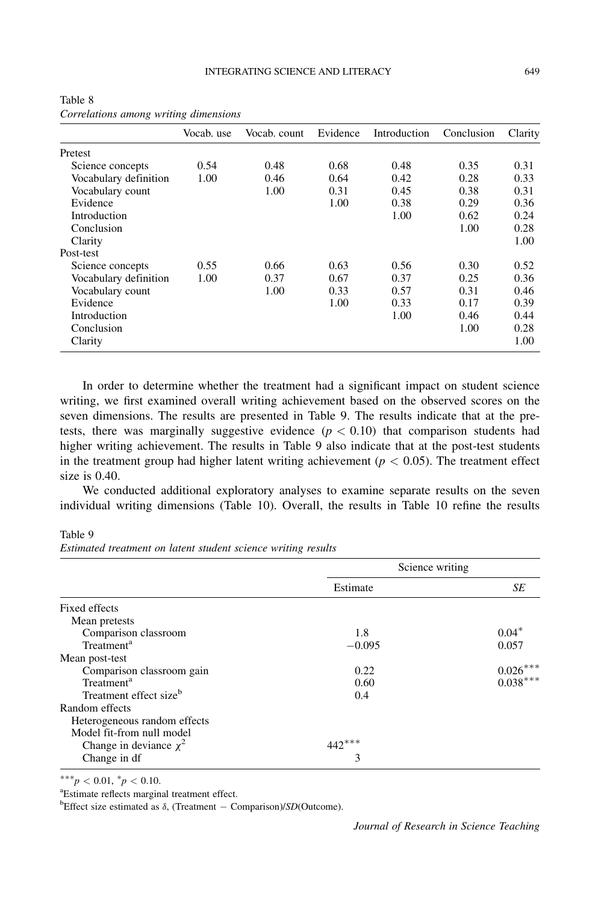|                       | Vocab. use | Vocab. count | Evidence | Introduction | Conclusion | Clarity |
|-----------------------|------------|--------------|----------|--------------|------------|---------|
| Pretest               |            |              |          |              |            |         |
| Science concepts      | 0.54       | 0.48         | 0.68     | 0.48         | 0.35       | 0.31    |
| Vocabulary definition | 1.00       | 0.46         | 0.64     | 0.42         | 0.28       | 0.33    |
| Vocabulary count      |            | 1.00         | 0.31     | 0.45         | 0.38       | 0.31    |
| Evidence              |            |              | 1.00     | 0.38         | 0.29       | 0.36    |
| Introduction          |            |              |          | 1.00         | 0.62       | 0.24    |
| Conclusion            |            |              |          |              | 1.00       | 0.28    |
| Clarity               |            |              |          |              |            | 1.00    |
| Post-test             |            |              |          |              |            |         |
| Science concepts      | 0.55       | 0.66         | 0.63     | 0.56         | 0.30       | 0.52    |
| Vocabulary definition | 1.00       | 0.37         | 0.67     | 0.37         | 0.25       | 0.36    |
| Vocabulary count      |            | 1.00         | 0.33     | 0.57         | 0.31       | 0.46    |
| Evidence              |            |              | 1.00     | 0.33         | 0.17       | 0.39    |
| Introduction          |            |              |          | 1.00         | 0.46       | 0.44    |
| Conclusion            |            |              |          |              | 1.00       | 0.28    |
| Clarity               |            |              |          |              |            | 1.00    |

Table 8 Correlations among writing dimensions

In order to determine whether the treatment had a significant impact on student science writing, we first examined overall writing achievement based on the observed scores on the seven dimensions. The results are presented in Table 9. The results indicate that at the pretests, there was marginally suggestive evidence  $(p < 0.10)$  that comparison students had higher writing achievement. The results in Table 9 also indicate that at the post-test students in the treatment group had higher latent writing achievement ( $p < 0.05$ ). The treatment effect size is 0.40.

We conducted additional exploratory analyses to examine separate results on the seven individual writing dimensions (Table 10). Overall, the results in Table 10 refine the results

Table 9

Estimated treatment on latent student science writing results

|                                    | Science writing |                          |
|------------------------------------|-----------------|--------------------------|
|                                    | Estimate        | SE                       |
| Fixed effects                      |                 |                          |
| Mean pretests                      |                 |                          |
| Comparison classroom               | 1.8             | $0.04*$                  |
| Treatment <sup>a</sup>             | $-0.095$        | 0.057                    |
| Mean post-test                     |                 |                          |
| Comparison classroom gain          | 0.22            | $0.026***$<br>$0.038***$ |
| Treatment <sup>a</sup>             | 0.60            |                          |
| Treatment effect size <sup>b</sup> | 0.4             |                          |
| Random effects                     |                 |                          |
| Heterogeneous random effects       |                 |                          |
| Model fit-from null model          |                 |                          |
| Change in deviance $\chi^2$        | $442***$        |                          |
| Change in df                       | 3               |                          |

\*\*\* $p < 0.01,$  \* $p < 0.10$ .

<sup>a</sup>Estimate reflects marginal treatment effect.

<sup>b</sup>Effect size estimated as  $\delta$ , (Treatment – Comparison)/SD(Outcome).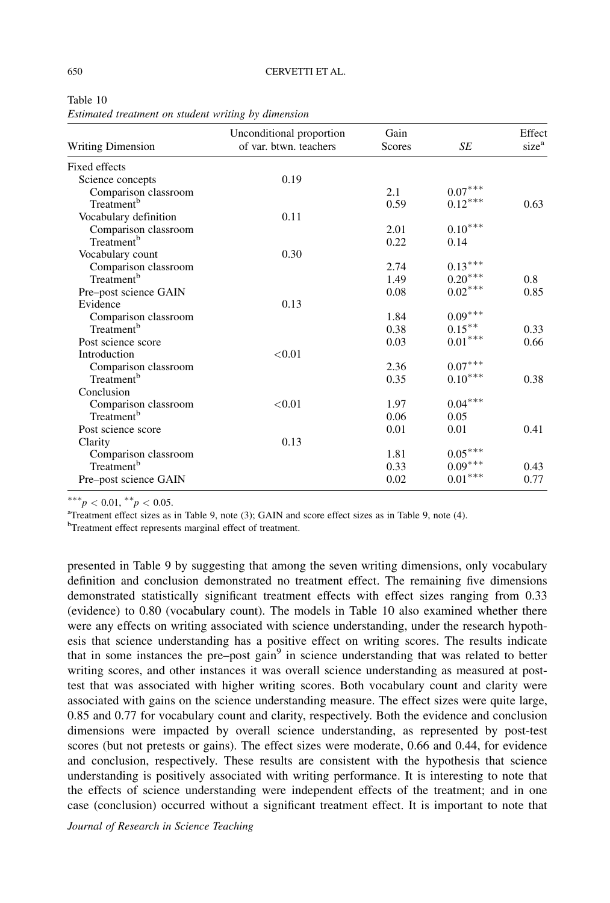|                          | Unconditional proportion | Gain   |                       | Effect            |
|--------------------------|--------------------------|--------|-----------------------|-------------------|
| <b>Writing Dimension</b> | of var. btwn. teachers   | Scores | SE                    | size <sup>a</sup> |
| Fixed effects            |                          |        |                       |                   |
| Science concepts         | 0.19                     |        |                       |                   |
| Comparison classroom     |                          | 2.1    | $0.07^{\ast\ast\ast}$ |                   |
| Treatment <sup>b</sup>   |                          | 0.59   | $0.12***$             | 0.63              |
| Vocabulary definition    | 0.11                     |        |                       |                   |
| Comparison classroom     |                          | 2.01   | $0.10^{***}\,$        |                   |
| Treatment <sup>b</sup>   |                          | 0.22   | 0.14                  |                   |
| Vocabulary count         | 0.30                     |        |                       |                   |
| Comparison classroom     |                          | 2.74   | $0.13***$             |                   |
| Treatment <sup>b</sup>   |                          | 1.49   | $0.20***$             | 0.8               |
| Pre-post science GAIN    |                          | 0.08   | $0.02***$             | 0.85              |
| Evidence                 | 0.13                     |        |                       |                   |
| Comparison classroom     |                          | 1.84   | $0.09^{***}\,$        |                   |
| Treatment <sup>b</sup>   |                          | 0.38   | $0.15***$             | 0.33              |
| Post science score       |                          | 0.03   | $0.01^{\ast\ast\ast}$ | 0.66              |
| Introduction             | < 0.01                   |        |                       |                   |
| Comparison classroom     |                          | 2.36   | $0.07^{***}\,$        |                   |
| Treatment <sup>b</sup>   |                          | 0.35   | $0.10^{***}\,$        | 0.38              |
| Conclusion               |                          |        |                       |                   |
| Comparison classroom     | < 0.01                   | 1.97   | $0.04^{***}\,$        |                   |
| Treatment <sup>b</sup>   |                          | 0.06   | 0.05                  |                   |
| Post science score       |                          | 0.01   | 0.01                  | 0.41              |
| Clarity                  | 0.13                     |        |                       |                   |
| Comparison classroom     |                          | 1.81   | $0.05^{***}$          |                   |
| Treatment <sup>b</sup>   |                          | 0.33   | $0.09***$             | 0.43              |
| Pre-post science GAIN    |                          | 0.02   | $0.01***$             | 0.77              |

Table 10 Estimated treatment on student writing by dimension

\*\*\* $p < 0.01$ , \*\* $p < 0.05$ .

<sup>a</sup>Treatment effect sizes as in Table 9, note (3); GAIN and score effect sizes as in Table 9, note (4).

<sup>b</sup>Treatment effect represents marginal effect of treatment.

presented in Table 9 by suggesting that among the seven writing dimensions, only vocabulary definition and conclusion demonstrated no treatment effect. The remaining five dimensions demonstrated statistically significant treatment effects with effect sizes ranging from 0.33 (evidence) to 0.80 (vocabulary count). The models in Table 10 also examined whether there were any effects on writing associated with science understanding, under the research hypothesis that science understanding has a positive effect on writing scores. The results indicate that in some instances the pre–post gain<sup>9</sup> in science understanding that was related to better writing scores, and other instances it was overall science understanding as measured at posttest that was associated with higher writing scores. Both vocabulary count and clarity were associated with gains on the science understanding measure. The effect sizes were quite large, 0.85 and 0.77 for vocabulary count and clarity, respectively. Both the evidence and conclusion dimensions were impacted by overall science understanding, as represented by post-test scores (but not pretests or gains). The effect sizes were moderate, 0.66 and 0.44, for evidence and conclusion, respectively. These results are consistent with the hypothesis that science understanding is positively associated with writing performance. It is interesting to note that the effects of science understanding were independent effects of the treatment; and in one case (conclusion) occurred without a significant treatment effect. It is important to note that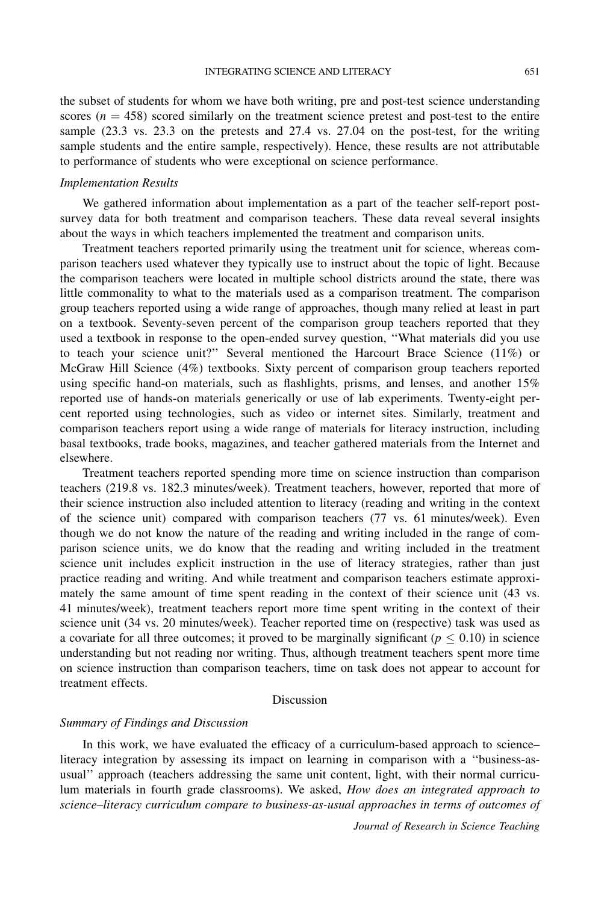the subset of students for whom we have both writing, pre and post-test science understanding scores ( $n = 458$ ) scored similarly on the treatment science pretest and post-test to the entire sample (23.3 vs. 23.3 on the pretests and 27.4 vs. 27.04 on the post-test, for the writing sample students and the entire sample, respectively). Hence, these results are not attributable to performance of students who were exceptional on science performance.

### Implementation Results

We gathered information about implementation as a part of the teacher self-report postsurvey data for both treatment and comparison teachers. These data reveal several insights about the ways in which teachers implemented the treatment and comparison units.

Treatment teachers reported primarily using the treatment unit for science, whereas comparison teachers used whatever they typically use to instruct about the topic of light. Because the comparison teachers were located in multiple school districts around the state, there was little commonality to what to the materials used as a comparison treatment. The comparison group teachers reported using a wide range of approaches, though many relied at least in part on a textbook. Seventy-seven percent of the comparison group teachers reported that they used a textbook in response to the open-ended survey question, ''What materials did you use to teach your science unit?'' Several mentioned the Harcourt Brace Science (11%) or McGraw Hill Science (4%) textbooks. Sixty percent of comparison group teachers reported using specific hand-on materials, such as flashlights, prisms, and lenses, and another 15% reported use of hands-on materials generically or use of lab experiments. Twenty-eight percent reported using technologies, such as video or internet sites. Similarly, treatment and comparison teachers report using a wide range of materials for literacy instruction, including basal textbooks, trade books, magazines, and teacher gathered materials from the Internet and elsewhere.

Treatment teachers reported spending more time on science instruction than comparison teachers (219.8 vs. 182.3 minutes/week). Treatment teachers, however, reported that more of their science instruction also included attention to literacy (reading and writing in the context of the science unit) compared with comparison teachers (77 vs. 61 minutes/week). Even though we do not know the nature of the reading and writing included in the range of comparison science units, we do know that the reading and writing included in the treatment science unit includes explicit instruction in the use of literacy strategies, rather than just practice reading and writing. And while treatment and comparison teachers estimate approximately the same amount of time spent reading in the context of their science unit (43 vs. 41 minutes/week), treatment teachers report more time spent writing in the context of their science unit (34 vs. 20 minutes/week). Teacher reported time on (respective) task was used as a covariate for all three outcomes; it proved to be marginally significant ( $p \le 0.10$ ) in science understanding but not reading nor writing. Thus, although treatment teachers spent more time on science instruction than comparison teachers, time on task does not appear to account for treatment effects.

# Discussion

### Summary of Findings and Discussion

In this work, we have evaluated the efficacy of a curriculum-based approach to science– literacy integration by assessing its impact on learning in comparison with a ''business-asusual'' approach (teachers addressing the same unit content, light, with their normal curriculum materials in fourth grade classrooms). We asked, How does an integrated approach to science–literacy curriculum compare to business-as-usual approaches in terms of outcomes of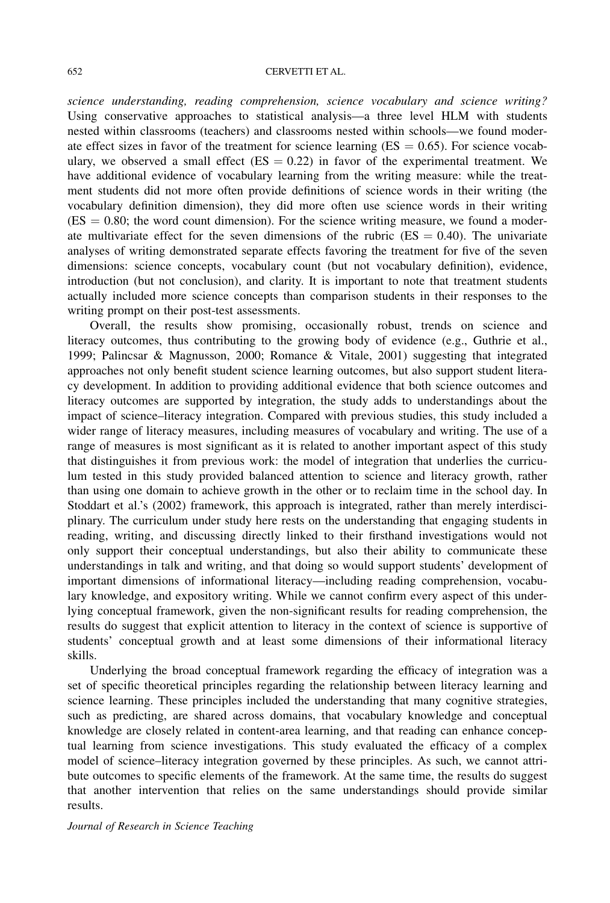science understanding, reading comprehension, science vocabulary and science writing? Using conservative approaches to statistical analysis—a three level HLM with students nested within classrooms (teachers) and classrooms nested within schools—we found moderate effect sizes in favor of the treatment for science learning ( $ES = 0.65$ ). For science vocabulary, we observed a small effect  $(ES = 0.22)$  in favor of the experimental treatment. We have additional evidence of vocabulary learning from the writing measure: while the treatment students did not more often provide definitions of science words in their writing (the vocabulary definition dimension), they did more often use science words in their writing  $(ES = 0.80;$  the word count dimension). For the science writing measure, we found a moderate multivariate effect for the seven dimensions of the rubric ( $ES = 0.40$ ). The univariate analyses of writing demonstrated separate effects favoring the treatment for five of the seven dimensions: science concepts, vocabulary count (but not vocabulary definition), evidence, introduction (but not conclusion), and clarity. It is important to note that treatment students actually included more science concepts than comparison students in their responses to the writing prompt on their post-test assessments.

Overall, the results show promising, occasionally robust, trends on science and literacy outcomes, thus contributing to the growing body of evidence (e.g., Guthrie et al., 1999; Palincsar & Magnusson, 2000; Romance & Vitale, 2001) suggesting that integrated approaches not only benefit student science learning outcomes, but also support student literacy development. In addition to providing additional evidence that both science outcomes and literacy outcomes are supported by integration, the study adds to understandings about the impact of science–literacy integration. Compared with previous studies, this study included a wider range of literacy measures, including measures of vocabulary and writing. The use of a range of measures is most significant as it is related to another important aspect of this study that distinguishes it from previous work: the model of integration that underlies the curriculum tested in this study provided balanced attention to science and literacy growth, rather than using one domain to achieve growth in the other or to reclaim time in the school day. In Stoddart et al.'s (2002) framework, this approach is integrated, rather than merely interdisciplinary. The curriculum under study here rests on the understanding that engaging students in reading, writing, and discussing directly linked to their firsthand investigations would not only support their conceptual understandings, but also their ability to communicate these understandings in talk and writing, and that doing so would support students' development of important dimensions of informational literacy—including reading comprehension, vocabulary knowledge, and expository writing. While we cannot confirm every aspect of this underlying conceptual framework, given the non-significant results for reading comprehension, the results do suggest that explicit attention to literacy in the context of science is supportive of students' conceptual growth and at least some dimensions of their informational literacy skills.

Underlying the broad conceptual framework regarding the efficacy of integration was a set of specific theoretical principles regarding the relationship between literacy learning and science learning. These principles included the understanding that many cognitive strategies, such as predicting, are shared across domains, that vocabulary knowledge and conceptual knowledge are closely related in content-area learning, and that reading can enhance conceptual learning from science investigations. This study evaluated the efficacy of a complex model of science–literacy integration governed by these principles. As such, we cannot attribute outcomes to specific elements of the framework. At the same time, the results do suggest that another intervention that relies on the same understandings should provide similar results.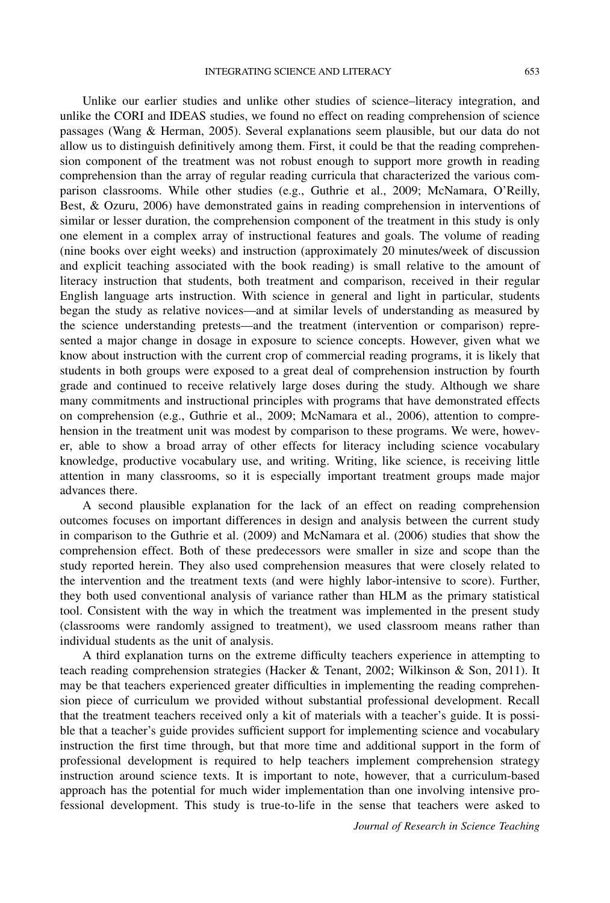Unlike our earlier studies and unlike other studies of science–literacy integration, and unlike the CORI and IDEAS studies, we found no effect on reading comprehension of science passages (Wang & Herman, 2005). Several explanations seem plausible, but our data do not allow us to distinguish definitively among them. First, it could be that the reading comprehension component of the treatment was not robust enough to support more growth in reading comprehension than the array of regular reading curricula that characterized the various comparison classrooms. While other studies (e.g., Guthrie et al., 2009; McNamara, O'Reilly, Best, & Ozuru, 2006) have demonstrated gains in reading comprehension in interventions of similar or lesser duration, the comprehension component of the treatment in this study is only one element in a complex array of instructional features and goals. The volume of reading (nine books over eight weeks) and instruction (approximately 20 minutes/week of discussion and explicit teaching associated with the book reading) is small relative to the amount of literacy instruction that students, both treatment and comparison, received in their regular English language arts instruction. With science in general and light in particular, students began the study as relative novices—and at similar levels of understanding as measured by the science understanding pretests—and the treatment (intervention or comparison) represented a major change in dosage in exposure to science concepts. However, given what we know about instruction with the current crop of commercial reading programs, it is likely that students in both groups were exposed to a great deal of comprehension instruction by fourth grade and continued to receive relatively large doses during the study. Although we share many commitments and instructional principles with programs that have demonstrated effects on comprehension (e.g., Guthrie et al., 2009; McNamara et al., 2006), attention to comprehension in the treatment unit was modest by comparison to these programs. We were, however, able to show a broad array of other effects for literacy including science vocabulary knowledge, productive vocabulary use, and writing. Writing, like science, is receiving little attention in many classrooms, so it is especially important treatment groups made major advances there.

A second plausible explanation for the lack of an effect on reading comprehension outcomes focuses on important differences in design and analysis between the current study in comparison to the Guthrie et al. (2009) and McNamara et al. (2006) studies that show the comprehension effect. Both of these predecessors were smaller in size and scope than the study reported herein. They also used comprehension measures that were closely related to the intervention and the treatment texts (and were highly labor-intensive to score). Further, they both used conventional analysis of variance rather than HLM as the primary statistical tool. Consistent with the way in which the treatment was implemented in the present study (classrooms were randomly assigned to treatment), we used classroom means rather than individual students as the unit of analysis.

A third explanation turns on the extreme difficulty teachers experience in attempting to teach reading comprehension strategies (Hacker & Tenant, 2002; Wilkinson & Son, 2011). It may be that teachers experienced greater difficulties in implementing the reading comprehension piece of curriculum we provided without substantial professional development. Recall that the treatment teachers received only a kit of materials with a teacher's guide. It is possible that a teacher's guide provides sufficient support for implementing science and vocabulary instruction the first time through, but that more time and additional support in the form of professional development is required to help teachers implement comprehension strategy instruction around science texts. It is important to note, however, that a curriculum-based approach has the potential for much wider implementation than one involving intensive professional development. This study is true-to-life in the sense that teachers were asked to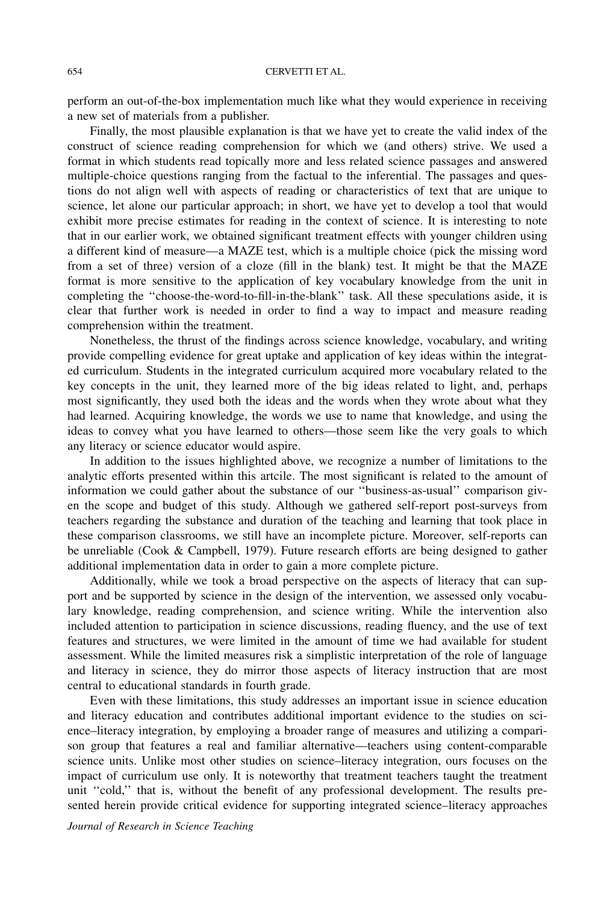perform an out-of-the-box implementation much like what they would experience in receiving a new set of materials from a publisher.

Finally, the most plausible explanation is that we have yet to create the valid index of the construct of science reading comprehension for which we (and others) strive. We used a format in which students read topically more and less related science passages and answered multiple-choice questions ranging from the factual to the inferential. The passages and questions do not align well with aspects of reading or characteristics of text that are unique to science, let alone our particular approach; in short, we have yet to develop a tool that would exhibit more precise estimates for reading in the context of science. It is interesting to note that in our earlier work, we obtained significant treatment effects with younger children using a different kind of measure—a MAZE test, which is a multiple choice (pick the missing word from a set of three) version of a cloze (fill in the blank) test. It might be that the MAZE format is more sensitive to the application of key vocabulary knowledge from the unit in completing the ''choose-the-word-to-fill-in-the-blank'' task. All these speculations aside, it is clear that further work is needed in order to find a way to impact and measure reading comprehension within the treatment.

Nonetheless, the thrust of the findings across science knowledge, vocabulary, and writing provide compelling evidence for great uptake and application of key ideas within the integrated curriculum. Students in the integrated curriculum acquired more vocabulary related to the key concepts in the unit, they learned more of the big ideas related to light, and, perhaps most significantly, they used both the ideas and the words when they wrote about what they had learned. Acquiring knowledge, the words we use to name that knowledge, and using the ideas to convey what you have learned to others—those seem like the very goals to which any literacy or science educator would aspire.

In addition to the issues highlighted above, we recognize a number of limitations to the analytic efforts presented within this artcile. The most significant is related to the amount of information we could gather about the substance of our ''business-as-usual'' comparison given the scope and budget of this study. Although we gathered self-report post-surveys from teachers regarding the substance and duration of the teaching and learning that took place in these comparison classrooms, we still have an incomplete picture. Moreover, self-reports can be unreliable (Cook & Campbell, 1979). Future research efforts are being designed to gather additional implementation data in order to gain a more complete picture.

Additionally, while we took a broad perspective on the aspects of literacy that can support and be supported by science in the design of the intervention, we assessed only vocabulary knowledge, reading comprehension, and science writing. While the intervention also included attention to participation in science discussions, reading fluency, and the use of text features and structures, we were limited in the amount of time we had available for student assessment. While the limited measures risk a simplistic interpretation of the role of language and literacy in science, they do mirror those aspects of literacy instruction that are most central to educational standards in fourth grade.

Even with these limitations, this study addresses an important issue in science education and literacy education and contributes additional important evidence to the studies on science–literacy integration, by employing a broader range of measures and utilizing a comparison group that features a real and familiar alternative—teachers using content-comparable science units. Unlike most other studies on science–literacy integration, ours focuses on the impact of curriculum use only. It is noteworthy that treatment teachers taught the treatment unit ''cold,'' that is, without the benefit of any professional development. The results presented herein provide critical evidence for supporting integrated science–literacy approaches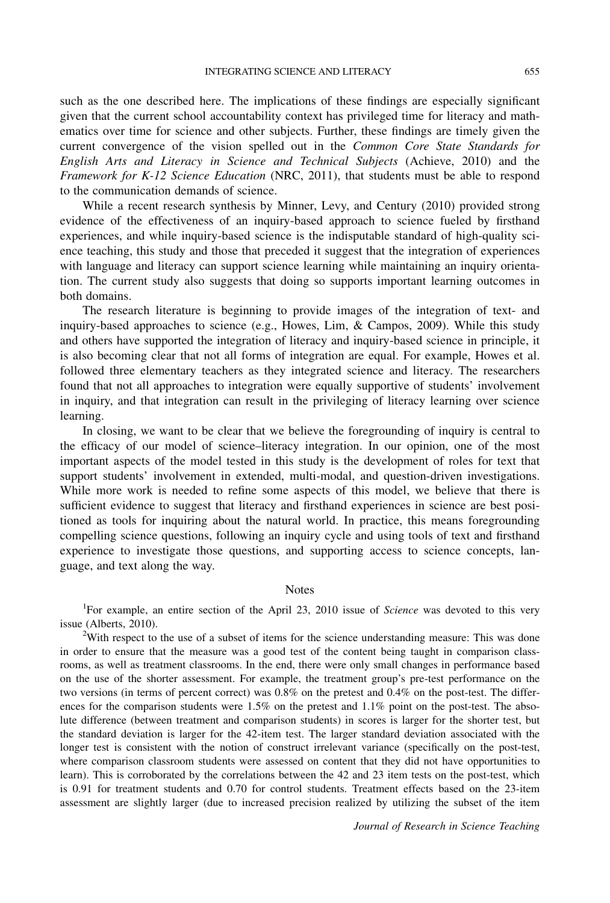such as the one described here. The implications of these findings are especially significant given that the current school accountability context has privileged time for literacy and mathematics over time for science and other subjects. Further, these findings are timely given the current convergence of the vision spelled out in the Common Core State Standards for English Arts and Literacy in Science and Technical Subjects (Achieve, 2010) and the Framework for K-12 Science Education (NRC, 2011), that students must be able to respond to the communication demands of science.

While a recent research synthesis by Minner, Levy, and Century (2010) provided strong evidence of the effectiveness of an inquiry-based approach to science fueled by firsthand experiences, and while inquiry-based science is the indisputable standard of high-quality science teaching, this study and those that preceded it suggest that the integration of experiences with language and literacy can support science learning while maintaining an inquiry orientation. The current study also suggests that doing so supports important learning outcomes in both domains.

The research literature is beginning to provide images of the integration of text- and inquiry-based approaches to science (e.g., Howes, Lim, & Campos, 2009). While this study and others have supported the integration of literacy and inquiry-based science in principle, it is also becoming clear that not all forms of integration are equal. For example, Howes et al. followed three elementary teachers as they integrated science and literacy. The researchers found that not all approaches to integration were equally supportive of students' involvement in inquiry, and that integration can result in the privileging of literacy learning over science learning.

In closing, we want to be clear that we believe the foregrounding of inquiry is central to the efficacy of our model of science–literacy integration. In our opinion, one of the most important aspects of the model tested in this study is the development of roles for text that support students' involvement in extended, multi-modal, and question-driven investigations. While more work is needed to refine some aspects of this model, we believe that there is sufficient evidence to suggest that literacy and firsthand experiences in science are best positioned as tools for inquiring about the natural world. In practice, this means foregrounding compelling science questions, following an inquiry cycle and using tools of text and firsthand experience to investigate those questions, and supporting access to science concepts, language, and text along the way.

### Notes

<sup>1</sup>For example, an entire section of the April 23, 2010 issue of Science was devoted to this very issue (Alberts, 2010).

 $2$ With respect to the use of a subset of items for the science understanding measure: This was done in order to ensure that the measure was a good test of the content being taught in comparison classrooms, as well as treatment classrooms. In the end, there were only small changes in performance based on the use of the shorter assessment. For example, the treatment group's pre-test performance on the two versions (in terms of percent correct) was 0.8% on the pretest and 0.4% on the post-test. The differences for the comparison students were 1.5% on the pretest and 1.1% point on the post-test. The absolute difference (between treatment and comparison students) in scores is larger for the shorter test, but the standard deviation is larger for the 42-item test. The larger standard deviation associated with the longer test is consistent with the notion of construct irrelevant variance (specifically on the post-test, where comparison classroom students were assessed on content that they did not have opportunities to learn). This is corroborated by the correlations between the 42 and 23 item tests on the post-test, which is 0.91 for treatment students and 0.70 for control students. Treatment effects based on the 23-item assessment are slightly larger (due to increased precision realized by utilizing the subset of the item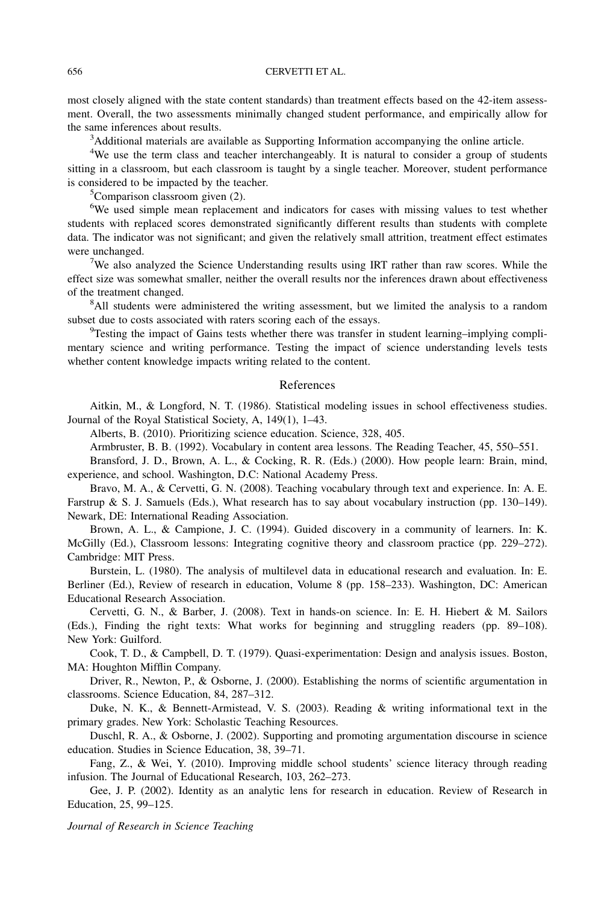most closely aligned with the state content standards) than treatment effects based on the 42-item assessment. Overall, the two assessments minimally changed student performance, and empirically allow for the same inferences about results.

<sup>3</sup>Additional materials are available as Supporting Information accompanying the online article.

<sup>4</sup>We use the term class and teacher interchangeably. It is natural to consider a group of students sitting in a classroom, but each classroom is taught by a single teacher. Moreover, student performance is considered to be impacted by the teacher.

 ${}^5$ Comparison classroom given (2).

<sup>6</sup>We used simple mean replacement and indicators for cases with missing values to test whether students with replaced scores demonstrated significantly different results than students with complete data. The indicator was not significant; and given the relatively small attrition, treatment effect estimates were unchanged.

 $7$ We also analyzed the Science Understanding results using IRT rather than raw scores. While the effect size was somewhat smaller, neither the overall results nor the inferences drawn about effectiveness of the treatment changed. <sup>8</sup>

<sup>8</sup>All students were administered the writing assessment, but we limited the analysis to a random subset due to costs associated with raters scoring each of the essays.

 $\rm$ <sup>9</sup>Testing the impact of Gains tests whether there was transfer in student learning–implying complimentary science and writing performance. Testing the impact of science understanding levels tests whether content knowledge impacts writing related to the content.

### References

Aitkin, M., & Longford, N. T. (1986). Statistical modeling issues in school effectiveness studies. Journal of the Royal Statistical Society, A, 149(1), 1–43.

Alberts, B. (2010). Prioritizing science education. Science, 328, 405.

Armbruster, B. B. (1992). Vocabulary in content area lessons. The Reading Teacher, 45, 550–551.

Bransford, J. D., Brown, A. L., & Cocking, R. R. (Eds.) (2000). How people learn: Brain, mind, experience, and school. Washington, D.C: National Academy Press.

Bravo, M. A., & Cervetti, G. N. (2008). Teaching vocabulary through text and experience. In: A. E. Farstrup & S. J. Samuels (Eds.), What research has to say about vocabulary instruction (pp. 130–149). Newark, DE: International Reading Association.

Brown, A. L., & Campione, J. C. (1994). Guided discovery in a community of learners. In: K. McGilly (Ed.), Classroom lessons: Integrating cognitive theory and classroom practice (pp. 229–272). Cambridge: MIT Press.

Burstein, L. (1980). The analysis of multilevel data in educational research and evaluation. In: E. Berliner (Ed.), Review of research in education, Volume 8 (pp. 158–233). Washington, DC: American Educational Research Association.

Cervetti, G. N., & Barber, J. (2008). Text in hands-on science. In: E. H. Hiebert & M. Sailors (Eds.), Finding the right texts: What works for beginning and struggling readers (pp. 89–108). New York: Guilford.

Cook, T. D., & Campbell, D. T. (1979). Quasi-experimentation: Design and analysis issues. Boston, MA: Houghton Mifflin Company.

Driver, R., Newton, P., & Osborne, J. (2000). Establishing the norms of scientific argumentation in classrooms. Science Education, 84, 287–312.

Duke, N. K., & Bennett-Armistead, V. S. (2003). Reading & writing informational text in the primary grades. New York: Scholastic Teaching Resources.

Duschl, R. A., & Osborne, J. (2002). Supporting and promoting argumentation discourse in science education. Studies in Science Education, 38, 39–71.

Fang, Z., & Wei, Y. (2010). Improving middle school students' science literacy through reading infusion. The Journal of Educational Research, 103, 262–273.

Gee, J. P. (2002). Identity as an analytic lens for research in education. Review of Research in Education, 25, 99–125.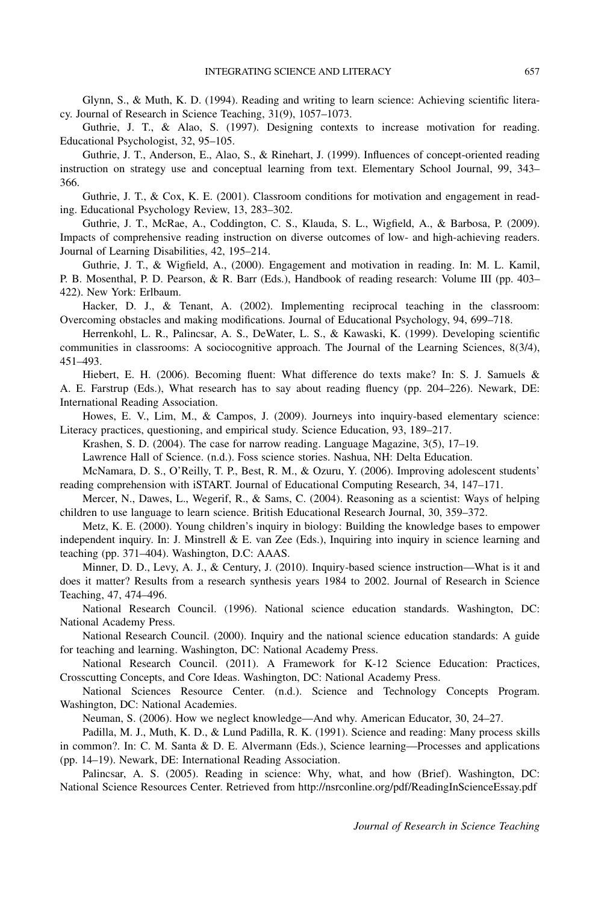Glynn, S., & Muth, K. D. (1994). Reading and writing to learn science: Achieving scientific literacy. Journal of Research in Science Teaching, 31(9), 1057–1073.

Guthrie, J. T., & Alao, S. (1997). Designing contexts to increase motivation for reading. Educational Psychologist, 32, 95–105.

Guthrie, J. T., Anderson, E., Alao, S., & Rinehart, J. (1999). Influences of concept-oriented reading instruction on strategy use and conceptual learning from text. Elementary School Journal, 99, 343– 366.

Guthrie, J. T., & Cox, K. E. (2001). Classroom conditions for motivation and engagement in reading. Educational Psychology Review, 13, 283–302.

Guthrie, J. T., McRae, A., Coddington, C. S., Klauda, S. L., Wigfield, A., & Barbosa, P. (2009). Impacts of comprehensive reading instruction on diverse outcomes of low- and high-achieving readers. Journal of Learning Disabilities, 42, 195–214.

Guthrie, J. T., & Wigfield, A., (2000). Engagement and motivation in reading. In: M. L. Kamil, P. B. Mosenthal, P. D. Pearson, & R. Barr (Eds.), Handbook of reading research: Volume III (pp. 403– 422). New York: Erlbaum.

Hacker, D. J., & Tenant, A. (2002). Implementing reciprocal teaching in the classroom: Overcoming obstacles and making modifications. Journal of Educational Psychology, 94, 699–718.

Herrenkohl, L. R., Palincsar, A. S., DeWater, L. S., & Kawaski, K. (1999). Developing scientific communities in classrooms: A sociocognitive approach. The Journal of the Learning Sciences, 8(3/4), 451–493.

Hiebert, E. H. (2006). Becoming fluent: What difference do texts make? In: S. J. Samuels & A. E. Farstrup (Eds.), What research has to say about reading fluency (pp. 204–226). Newark, DE: International Reading Association.

Howes, E. V., Lim, M., & Campos, J. (2009). Journeys into inquiry-based elementary science: Literacy practices, questioning, and empirical study. Science Education, 93, 189–217.

Krashen, S. D. (2004). The case for narrow reading. Language Magazine, 3(5), 17–19.

Lawrence Hall of Science. (n.d.). Foss science stories. Nashua, NH: Delta Education.

McNamara, D. S., O'Reilly, T. P., Best, R. M., & Ozuru, Y. (2006). Improving adolescent students' reading comprehension with iSTART. Journal of Educational Computing Research, 34, 147–171.

Mercer, N., Dawes, L., Wegerif, R., & Sams, C. (2004). Reasoning as a scientist: Ways of helping children to use language to learn science. British Educational Research Journal, 30, 359–372.

Metz, K. E. (2000). Young children's inquiry in biology: Building the knowledge bases to empower independent inquiry. In: J. Minstrell & E. van Zee (Eds.), Inquiring into inquiry in science learning and teaching (pp. 371–404). Washington, D.C: AAAS.

Minner, D. D., Levy, A. J., & Century, J. (2010). Inquiry-based science instruction—What is it and does it matter? Results from a research synthesis years 1984 to 2002. Journal of Research in Science Teaching, 47, 474–496.

National Research Council. (1996). National science education standards. Washington, DC: National Academy Press.

National Research Council. (2000). Inquiry and the national science education standards: A guide for teaching and learning. Washington, DC: National Academy Press.

National Research Council. (2011). A Framework for K-12 Science Education: Practices, Crosscutting Concepts, and Core Ideas. Washington, DC: National Academy Press.

National Sciences Resource Center. (n.d.). Science and Technology Concepts Program. Washington, DC: National Academies.

Neuman, S. (2006). How we neglect knowledge—And why. American Educator, 30, 24–27.

Padilla, M. J., Muth, K. D., & Lund Padilla, R. K. (1991). Science and reading: Many process skills in common?. In: C. M. Santa & D. E. Alvermann (Eds.), Science learning—Processes and applications (pp. 14–19). Newark, DE: International Reading Association.

Palincsar, A. S. (2005). Reading in science: Why, what, and how (Brief). Washington, DC: National Science Resources Center. Retrieved from http://nsrconline.org/pdf/ReadingInScienceEssay.pdf